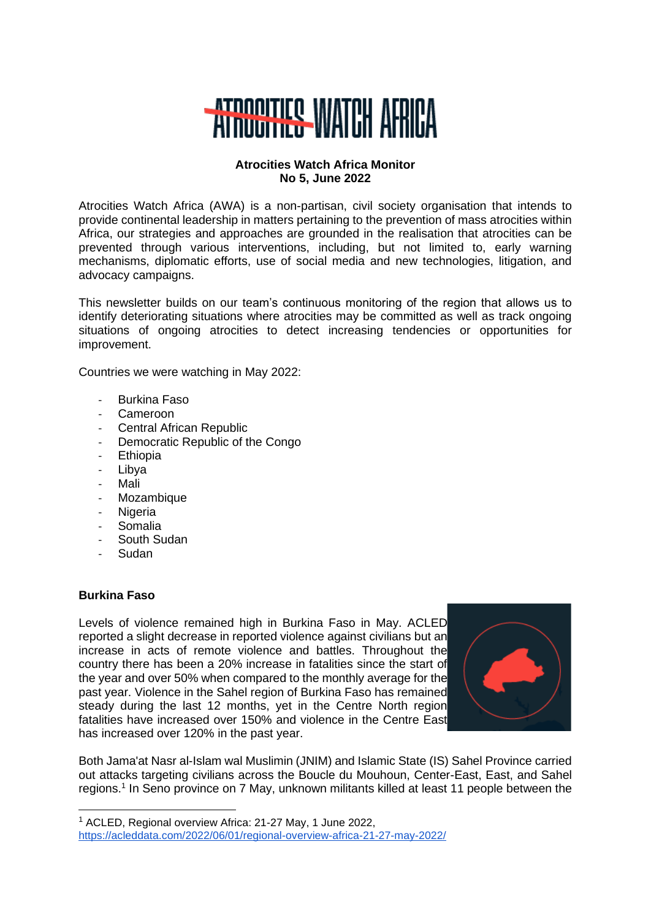

### **Atrocities Watch Africa Monitor No 5, June 2022**

Atrocities Watch Africa (AWA) is a non-partisan, civil society organisation that intends to provide continental leadership in matters pertaining to the prevention of mass atrocities within Africa, our strategies and approaches are grounded in the realisation that atrocities can be prevented through various interventions, including, but not limited to, early warning mechanisms, diplomatic efforts, use of social media and new technologies, litigation, and advocacy campaigns.

This newsletter builds on our team's continuous monitoring of the region that allows us to identify deteriorating situations where atrocities may be committed as well as track ongoing situations of ongoing atrocities to detect increasing tendencies or opportunities for improvement.

Countries we were watching in May 2022:

- Burkina Faso
- Cameroon
- Central African Republic
- Democratic Republic of the Congo
- Ethiopia
- Libya
- **Mali**
- Mozambique
- **Nigeria**
- **Somalia**
- South Sudan
- **Sudan**

# **Burkina Faso**

Levels of violence remained high in Burkina Faso in May. ACLED reported a slight decrease in reported violence against civilians but an increase in acts of remote violence and battles. Throughout the country there has been a 20% increase in fatalities since the start of the year and over 50% when compared to the monthly average for the past year. Violence in the Sahel region of Burkina Faso has remained steady during the last 12 months, yet in the Centre North region fatalities have increased over 150% and violence in the Centre East has increased over 120% in the past year.



Both Jama'at Nasr al-Islam wal Muslimin (JNIM) and Islamic State (IS) Sahel Province carried out attacks targeting civilians across the Boucle du Mouhoun, Center-East, East, and Sahel regions.<sup>1</sup> In Seno province on 7 May, unknown militants killed at least 11 people between the

<sup>1</sup> ACLED, Regional overview Africa: 21-27 May, 1 June 2022, <https://acleddata.com/2022/06/01/regional-overview-africa-21-27-may-2022/>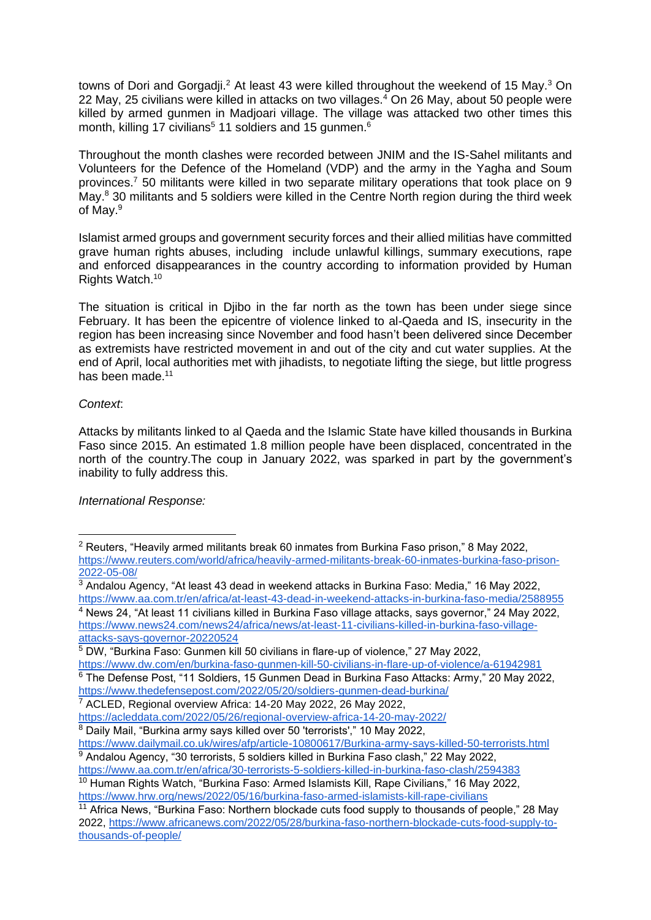towns of Dori and Gorgadji.<sup>2</sup> At least 43 were killed throughout the weekend of 15 May.<sup>3</sup> On 22 May, 25 civilians were killed in attacks on two villages. $4$  On 26 May, about 50 people were killed by armed gunmen in Madjoari village. The village was attacked two other times this month, killing 17 civilians<sup>5</sup> 11 soldiers and 15 gunmen.<sup>6</sup>

Throughout the month clashes were recorded between JNIM and the IS-Sahel militants and Volunteers for the Defence of the Homeland (VDP) and the army in the Yagha and Soum provinces.<sup>7</sup> 50 militants were killed in two separate military operations that took place on 9 May.<sup>8</sup> 30 militants and 5 soldiers were killed in the Centre North region during the third week of May.<sup>9</sup>

Islamist armed groups and government security forces and their allied militias have committed grave human rights abuses, including include unlawful killings, summary executions, rape and enforced disappearances in the country according to information provided by Human Rights Watch.<sup>10</sup>

The situation is critical in Djibo in the far north as the town has been under siege since February. It has been the epicentre of violence linked to al-Qaeda and IS, insecurity in the region has been increasing since November and food hasn't been delivered since December as extremists have restricted movement in and out of the city and cut water supplies. At the end of April, local authorities met with jihadists, to negotiate lifting the siege, but little progress has been made.<sup>11</sup>

#### *Context*:

Attacks by militants linked to al Qaeda and the Islamic State have killed thousands in Burkina Faso since 2015. An estimated 1.8 million people have been displaced, concentrated in the north of the country.The coup in January 2022, was sparked in part by the government's inability to fully address this.

# *International Response:*

<sup>6</sup> The Defense Post, "11 Soldiers, 15 Gunmen Dead in Burkina Faso Attacks: Army," 20 May 2022,

<sup>7</sup> ACLED, Regional overview Africa: 14-20 May 2022, 26 May 2022,

<sup>2</sup> Reuters, "Heavily armed militants break 60 inmates from Burkina Faso prison," 8 May 2022, [https://www.reuters.com/world/africa/heavily-armed-militants-break-60-inmates-burkina-faso-prison-](https://www.reuters.com/world/africa/heavily-armed-militants-break-60-inmates-burkina-faso-prison-2022-05-08/)[2022-05-08/](https://www.reuters.com/world/africa/heavily-armed-militants-break-60-inmates-burkina-faso-prison-2022-05-08/)

 $3$  Andalou Agency, "At least 43 dead in weekend attacks in Burkina Faso: Media," 16 May 2022, <https://www.aa.com.tr/en/africa/at-least-43-dead-in-weekend-attacks-in-burkina-faso-media/2588955> <sup>4</sup> News 24, "At least 11 civilians killed in Burkina Faso village attacks, says governor," 24 May 2022,

[https://www.news24.com/news24/africa/news/at-least-11-civilians-killed-in-burkina-faso-village](https://www.news24.com/news24/africa/news/at-least-11-civilians-killed-in-burkina-faso-village-attacks-says-governor-20220524)[attacks-says-governor-20220524](https://www.news24.com/news24/africa/news/at-least-11-civilians-killed-in-burkina-faso-village-attacks-says-governor-20220524)

<sup>5</sup> DW, "Burkina Faso: Gunmen kill 50 civilians in flare-up of violence," 27 May 2022, <https://www.dw.com/en/burkina-faso-gunmen-kill-50-civilians-in-flare-up-of-violence/a-61942981>

<https://www.thedefensepost.com/2022/05/20/soldiers-gunmen-dead-burkina/>

<https://acleddata.com/2022/05/26/regional-overview-africa-14-20-may-2022/>

<sup>8</sup> Daily Mail, "Burkina army says killed over 50 'terrorists'," 10 May 2022,

<https://www.dailymail.co.uk/wires/afp/article-10800617/Burkina-army-says-killed-50-terrorists.html> <sup>9</sup> Andalou Agency, "30 terrorists, 5 soldiers killed in Burkina Faso clash," 22 May 2022,

<https://www.aa.com.tr/en/africa/30-terrorists-5-soldiers-killed-in-burkina-faso-clash/2594383>

<sup>&</sup>lt;sup>10</sup> Human Rights Watch, "Burkina Faso: Armed Islamists Kill, Rape Civilians," 16 May 2022, <https://www.hrw.org/news/2022/05/16/burkina-faso-armed-islamists-kill-rape-civilians>

<sup>&</sup>lt;sup>11</sup> Africa News, "Burkina Faso: Northern blockade cuts food supply to thousands of people," 28 May 2022, [https://www.africanews.com/2022/05/28/burkina-faso-northern-blockade-cuts-food-supply-to](https://www.africanews.com/2022/05/28/burkina-faso-northern-blockade-cuts-food-supply-to-thousands-of-people/)[thousands-of-people/](https://www.africanews.com/2022/05/28/burkina-faso-northern-blockade-cuts-food-supply-to-thousands-of-people/)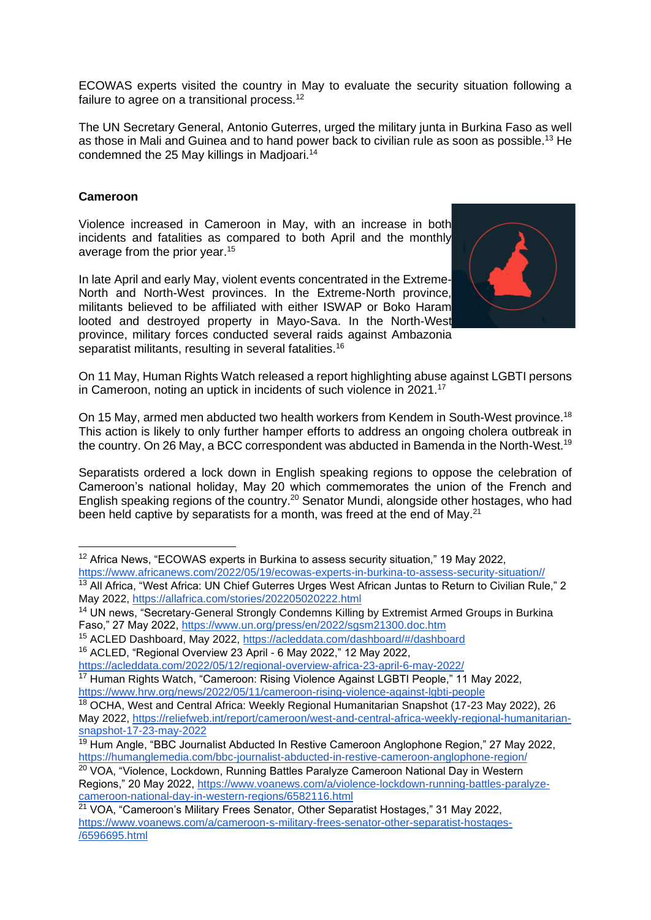ECOWAS experts visited the country in May to evaluate the security situation following a failure to agree on a transitional process.<sup>12</sup>

The UN Secretary General, Antonio Guterres, urged the military junta in Burkina Faso as well as those in Mali and Guinea and to hand power back to civilian rule as soon as possible.<sup>13</sup> He condemned the 25 May killings in Madioari.<sup>14</sup>

# **Cameroon**

Violence increased in Cameroon in May, with an increase in both incidents and fatalities as compared to both April and the monthly average from the prior year.<sup>15</sup>

In late April and early May, violent events concentrated in the Extreme-North and North-West provinces. In the Extreme-North province, militants believed to be affiliated with either ISWAP or Boko Haram looted and destroyed property in Mayo-Sava. In the North-West province, military forces conducted several raids against Ambazonia separatist militants, resulting in several fatalities.<sup>16</sup>



On 11 May, Human Rights Watch released a report highlighting abuse against LGBTI persons in Cameroon, noting an uptick in incidents of such violence in 2021.<sup>17</sup>

On 15 May, armed men abducted two health workers from Kendem in South-West province.<sup>18</sup> This action is likely to only further hamper efforts to address an ongoing cholera outbreak in the country. On 26 May, a BCC correspondent was abducted in Bamenda in the North-West.<sup>19</sup>

Separatists ordered a lock down in English speaking regions to oppose the celebration of Cameroon's national holiday, May 20 which commemorates the union of the French and English speaking regions of the country.<sup>20</sup> Senator Mundi, alongside other hostages, who had been held captive by separatists for a month, was freed at the end of May.<sup>21</sup>

<sup>&</sup>lt;sup>12</sup> Africa News, "ECOWAS experts in Burkina to assess security situation," 19 May 2022, [https://www.africanews.com/2022/05/19/ecowas-experts-in-burkina-to-assess-security-situation//](https://www.africanews.com/2022/05/19/ecowas-experts-in-burkina-to-assess-security-situation/)

<sup>&</sup>lt;sup>13</sup> All Africa. "West Africa: UN Chief Guterres Urges West African Juntas to Return to Civilian Rule," 2 May 2022,<https://allafrica.com/stories/202205020222.html>

<sup>&</sup>lt;sup>14</sup> UN news, "Secretary-General Strongly Condemns Killing by Extremist Armed Groups in Burkina Faso," 27 May 2022,<https://www.un.org/press/en/2022/sgsm21300.doc.htm>

<sup>&</sup>lt;sup>15</sup> ACLED Dashboard, May 2022,<https://acleddata.com/dashboard/#/dashboard>

<sup>16</sup> ACLED, "Regional Overview 23 April - 6 May 2022," 12 May 2022,

<https://acleddata.com/2022/05/12/regional-overview-africa-23-april-6-may-2022/>

<sup>&</sup>lt;sup>17</sup> Human Rights Watch, "Cameroon: Rising Violence Against LGBTI People," 11 May 2022, <https://www.hrw.org/news/2022/05/11/cameroon-rising-violence-against-lgbti-people>

<sup>&</sup>lt;sup>18</sup> OCHA, West and Central Africa: Weekly Regional Humanitarian Snapshot (17-23 May 2022), 26 May 2022, [https://reliefweb.int/report/cameroon/west-and-central-africa-weekly-regional-humanitarian](https://reliefweb.int/report/cameroon/west-and-central-africa-weekly-regional-humanitarian-snapshot-17-23-may-2022)[snapshot-17-23-may-2022](https://reliefweb.int/report/cameroon/west-and-central-africa-weekly-regional-humanitarian-snapshot-17-23-may-2022)

<sup>&</sup>lt;sup>19</sup> Hum Angle, "BBC Journalist Abducted In Restive Cameroon Anglophone Region," 27 May 2022, <https://humanglemedia.com/bbc-journalist-abducted-in-restive-cameroon-anglophone-region/>

<sup>&</sup>lt;sup>20</sup> VOA, "Violence, Lockdown, Running Battles Paralyze Cameroon National Day in Western Regions," 20 May 2022, [https://www.voanews.com/a/violence-lockdown-running-battles-paralyze](https://www.voanews.com/a/violence-lockdown-running-battles-paralyze-cameroon-national-day-in-western-regions/6582116.html)[cameroon-national-day-in-western-regions/6582116.html](https://www.voanews.com/a/violence-lockdown-running-battles-paralyze-cameroon-national-day-in-western-regions/6582116.html)

<sup>21</sup> VOA, "Cameroon's Military Frees Senator, Other Separatist Hostages," 31 May 2022, [https://www.voanews.com/a/cameroon-s-military-frees-senator-other-separatist-hostages-](https://www.voanews.com/a/cameroon-s-military-frees-senator-other-separatist-hostages-/6596695.html) [/6596695.html](https://www.voanews.com/a/cameroon-s-military-frees-senator-other-separatist-hostages-/6596695.html)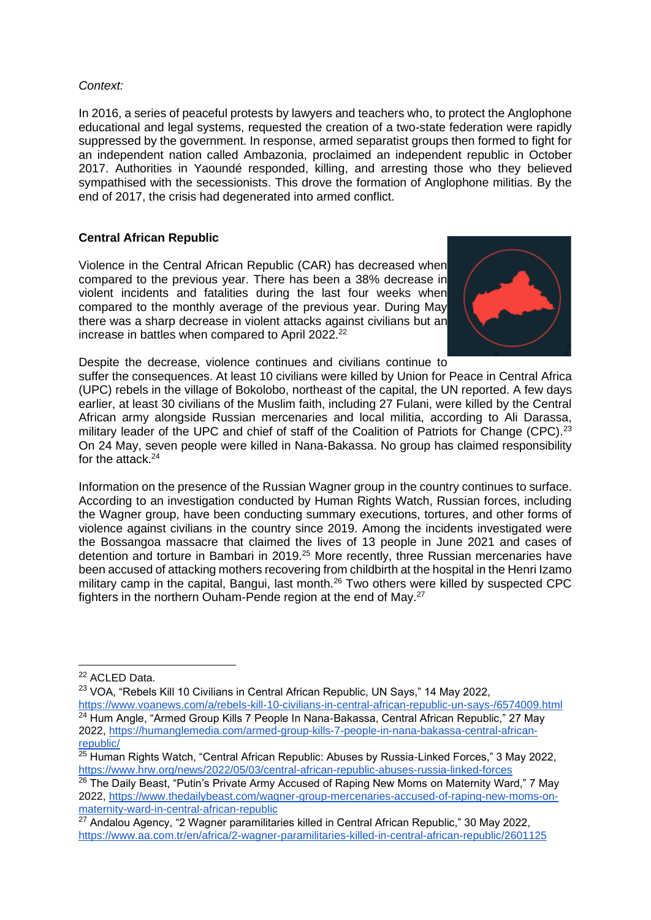### *Context:*

In 2016, a series of peaceful protests by lawyers and teachers who, to protect the Anglophone educational and legal systems, requested the creation of a two-state federation were rapidly suppressed by the government. In response, armed separatist groups then formed to fight for an independent nation called Ambazonia, proclaimed an independent republic in October 2017. Authorities in Yaoundé responded, killing, and arresting those who they believed sympathised with the secessionists. This drove the formation of Anglophone militias. By the end of 2017, the crisis had degenerated into armed conflict.

# **Central African Republic**

Violence in the Central African Republic (CAR) has decreased when compared to the previous year. There has been a 38% decrease in violent incidents and fatalities during the last four weeks when compared to the monthly average of the previous year. During May there was a sharp decrease in violent attacks against civilians but an increase in battles when compared to April 2022.<sup>22</sup>



Despite the decrease, violence continues and civilians continue to

suffer the consequences. At least 10 civilians were killed by Union for Peace in Central Africa (UPC) rebels in the village of Bokolobo, northeast of the capital, the UN reported. A few days earlier, at least 30 civilians of the Muslim faith, including 27 Fulani, were killed by the Central African army alongside Russian mercenaries and local militia, according to Ali Darassa, military leader of the UPC and chief of staff of the Coalition of Patriots for Change (CPC).<sup>23</sup> On 24 May, seven people were killed in Nana-Bakassa. No group has claimed responsibility for the attack.<sup>24</sup>

Information on the presence of the Russian Wagner group in the country continues to surface. According to an investigation conducted by Human Rights Watch, Russian forces, including the Wagner group, have been conducting summary executions, tortures, and other forms of violence against civilians in the country since 2019. Among the incidents investigated were the Bossangoa massacre that claimed the lives of 13 people in June 2021 and cases of detention and torture in Bambari in 2019.<sup>25</sup> More recently, three Russian mercenaries have been accused of attacking mothers recovering from childbirth at the hospital in the Henri Izamo military camp in the capital, Bangui, last month.<sup>26</sup> Two others were killed by suspected CPC fighters in the northern Ouham-Pende region at the end of May.<sup>27</sup>

<sup>22</sup> ACLED Data.

<sup>23</sup> VOA, "Rebels Kill 10 Civilians in Central African Republic, UN Says," 14 May 2022,

<https://www.voanews.com/a/rebels-kill-10-civilians-in-central-african-republic-un-says-/6574009.html>  $24$  Hum Angle, "Armed Group Kills 7 People In Nana-Bakassa, Central African Republic," 27 May 2022, [https://humanglemedia.com/armed-group-kills-7-people-in-nana-bakassa-central-african](https://humanglemedia.com/armed-group-kills-7-people-in-nana-bakassa-central-african-republic/)[republic/](https://humanglemedia.com/armed-group-kills-7-people-in-nana-bakassa-central-african-republic/)

 $25$  Human Rights Watch, "Central African Republic: Abuses by Russia-Linked Forces," 3 May 2022, <https://www.hrw.org/news/2022/05/03/central-african-republic-abuses-russia-linked-forces>

<sup>&</sup>lt;sup>26</sup> The Daily Beast, "Putin's Private Army Accused of Raping New Moms on Maternity Ward," 7 May 2022, [https://www.thedailybeast.com/wagner-group-mercenaries-accused-of-raping-new-moms-on](https://www.thedailybeast.com/wagner-group-mercenaries-accused-of-raping-new-moms-on-maternity-ward-in-central-african-republic)[maternity-ward-in-central-african-republic](https://www.thedailybeast.com/wagner-group-mercenaries-accused-of-raping-new-moms-on-maternity-ward-in-central-african-republic)

 $27$  Andalou Agency, "2 Wagner paramilitaries killed in Central African Republic," 30 May 2022, <https://www.aa.com.tr/en/africa/2-wagner-paramilitaries-killed-in-central-african-republic/2601125>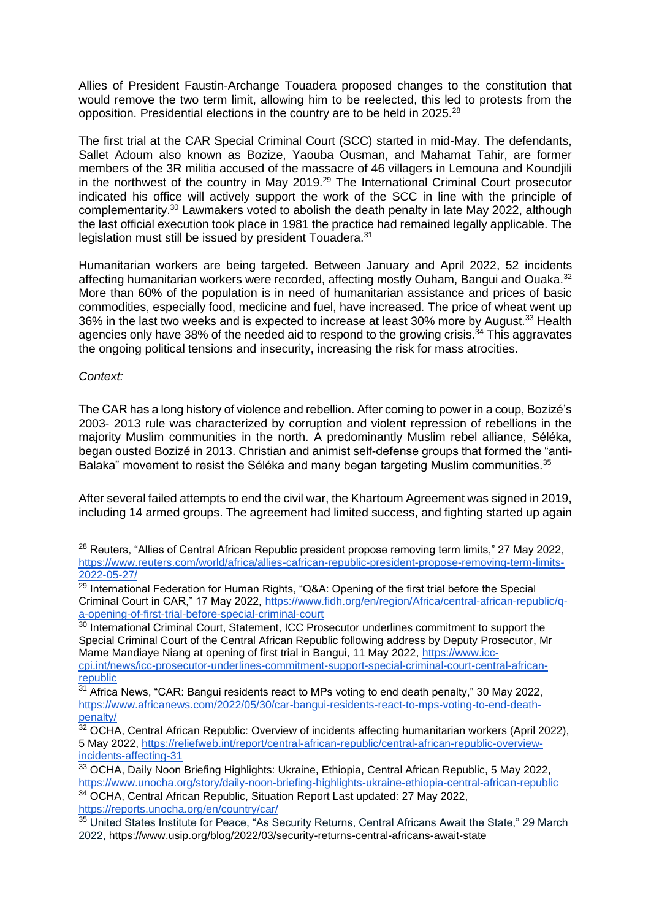Allies of President Faustin-Archange Touadera proposed changes to the constitution that would remove the two term limit, allowing him to be reelected, this led to protests from the opposition. Presidential elections in the country are to be held in 2025.<sup>28</sup>

The first trial at the CAR Special Criminal Court (SCC) started in mid-May. The defendants, Sallet Adoum also known as Bozize, Yaouba Ousman, and Mahamat Tahir, are former members of the 3R militia accused of the massacre of 46 villagers in Lemouna and Koundjili in the northwest of the country in May 2019.<sup>29</sup> The International Criminal Court prosecutor indicated his office will actively support the work of the SCC in line with the principle of complementarity.<sup>30</sup> Lawmakers voted to abolish the death penalty in late May 2022, although the last official execution took place in 1981 the practice had remained legally applicable. The legislation must still be issued by president Touadera.<sup>31</sup>

Humanitarian workers are being targeted. Between January and April 2022, 52 incidents affecting humanitarian workers were recorded, affecting mostly Ouham, Bangui and Ouaka.<sup>32</sup> More than 60% of the population is in need of humanitarian assistance and prices of basic commodities, especially food, medicine and fuel, have increased. The price of wheat went up 36% in the last two weeks and is expected to increase at least 30% more by August.<sup>33</sup> Health agencies only have 38% of the needed aid to respond to the growing crisis. $34$  This aggravates the ongoing political tensions and insecurity, increasing the risk for mass atrocities.

#### *Context:*

The CAR has a long history of violence and rebellion. After coming to power in a coup, Bozizé's 2003- 2013 rule was characterized by corruption and violent repression of rebellions in the majority Muslim communities in the north. A predominantly Muslim rebel alliance, Séléka, began ousted Bozizé in 2013. Christian and animist self-defense groups that formed the "anti-Balaka" movement to resist the Séléka and many began targeting Muslim communities.<sup>35</sup>

After several failed attempts to end the civil war, the Khartoum Agreement was signed in 2019, including 14 armed groups. The agreement had limited success, and fighting started up again

<sup>34</sup> OCHA, Central African Republic, Situation Report Last updated: 27 May 2022, <https://reports.unocha.org/en/country/car/>

<sup>&</sup>lt;sup>28</sup> Reuters, "Allies of Central African Republic president propose removing term limits," 27 May 2022, [https://www.reuters.com/world/africa/allies-cafrican-republic-president-propose-removing-term-limits-](https://www.reuters.com/world/africa/allies-cafrican-republic-president-propose-removing-term-limits-2022-05-27/)[2022-05-27/](https://www.reuters.com/world/africa/allies-cafrican-republic-president-propose-removing-term-limits-2022-05-27/)

 $29$  International Federation for Human Rights, "Q&A: Opening of the first trial before the Special Criminal Court in CAR," 17 May 2022, [https://www.fidh.org/en/region/Africa/central-african-republic/q](https://www.fidh.org/en/region/Africa/central-african-republic/q-a-opening-of-first-trial-before-special-criminal-court)[a-opening-of-first-trial-before-special-criminal-court](https://www.fidh.org/en/region/Africa/central-african-republic/q-a-opening-of-first-trial-before-special-criminal-court)

<sup>&</sup>lt;sup>30</sup> International Criminal Court, Statement, ICC Prosecutor underlines commitment to support the Special Criminal Court of the Central African Republic following address by Deputy Prosecutor, Mr Mame Mandiaye Niang at opening of first trial in Bangui, 11 May 2022, [https://www.icc](https://www.icc-cpi.int/news/icc-prosecutor-underlines-commitment-support-special-criminal-court-central-african-republic)[cpi.int/news/icc-prosecutor-underlines-commitment-support-special-criminal-court-central-african](https://www.icc-cpi.int/news/icc-prosecutor-underlines-commitment-support-special-criminal-court-central-african-republic)[republic](https://www.icc-cpi.int/news/icc-prosecutor-underlines-commitment-support-special-criminal-court-central-african-republic)

 $31$  Africa News, "CAR: Bangui residents react to MPs voting to end death penalty," 30 May 2022, [https://www.africanews.com/2022/05/30/car-bangui-residents-react-to-mps-voting-to-end-death](https://www.africanews.com/2022/05/30/car-bangui-residents-react-to-mps-voting-to-end-death-penalty/)[penalty/](https://www.africanews.com/2022/05/30/car-bangui-residents-react-to-mps-voting-to-end-death-penalty/)

<sup>&</sup>lt;sup>32</sup> OCHA, Central African Republic: Overview of incidents affecting humanitarian workers (April 2022), 5 May 2022, [https://reliefweb.int/report/central-african-republic/central-african-republic-overview](https://reliefweb.int/report/central-african-republic/central-african-republic-overview-incidents-affecting-31)[incidents-affecting-31](https://reliefweb.int/report/central-african-republic/central-african-republic-overview-incidents-affecting-31)

<sup>33</sup> OCHA, Daily Noon Briefing Highlights: Ukraine, Ethiopia, Central African Republic, 5 May 2022, <https://www.unocha.org/story/daily-noon-briefing-highlights-ukraine-ethiopia-central-african-republic>

<sup>35</sup> United States Institute for Peace, "As Security Returns, Central Africans Await the State," 29 March 2022,<https://www.usip.org/blog/2022/03/security-returns-central-africans-await-state>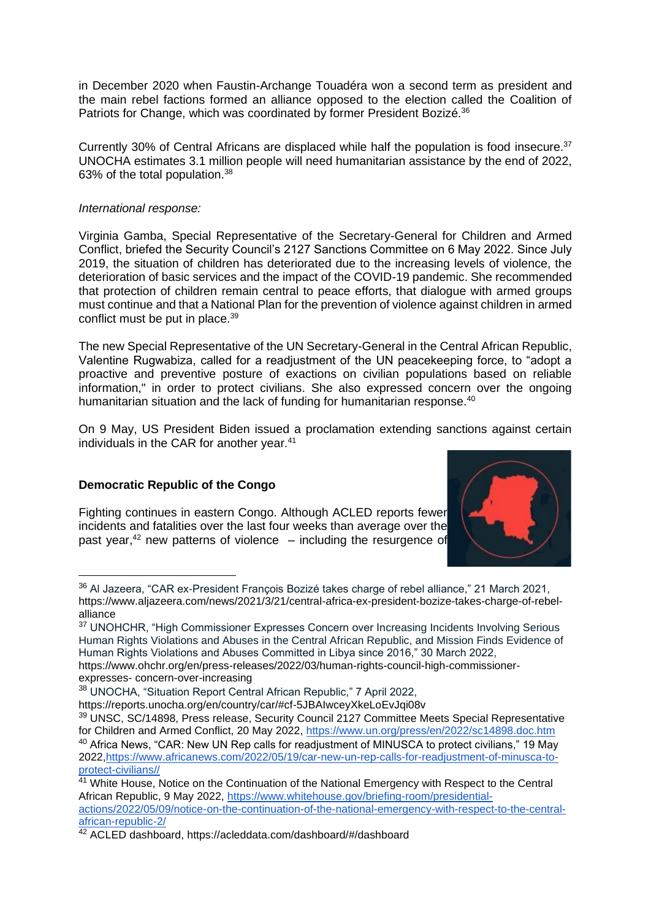in December 2020 when Faustin-Archange Touadéra won a second term as president and the main rebel factions formed an alliance opposed to the election called the Coalition of Patriots for Change, which was coordinated by former President Bozizé.<sup>36</sup>

Currently 30% of Central Africans are displaced while half the population is food insecure.  $37$ UNOCHA estimates 3.1 million people will need humanitarian assistance by the end of 2022, 63% of the total population.<sup>38</sup>

# *International response:*

Virginia Gamba, Special Representative of the Secretary-General for Children and Armed Conflict, briefed the Security Council's 2127 Sanctions Committee on 6 May 2022. Since July 2019, the situation of children has deteriorated due to the increasing levels of violence, the deterioration of basic services and the impact of the COVID-19 pandemic. She recommended that protection of children remain central to peace efforts, that dialogue with armed groups must continue and that a National Plan for the prevention of violence against children in armed conflict must be put in place.<sup>39</sup>

The new Special Representative of the UN Secretary-General in the Central African Republic, Valentine Rugwabiza, called for a readjustment of the UN peacekeeping force, to "adopt a proactive and preventive posture of exactions on civilian populations based on reliable information," in order to protect civilians. She also expressed concern over the ongoing humanitarian situation and the lack of funding for humanitarian response.<sup>40</sup>

On 9 May, US President Biden issued a proclamation extending sanctions against certain individuals in the CAR for another year.<sup>41</sup>

# **Democratic Republic of the Congo**

Fighting continues in eastern Congo. Although ACLED reports fewer incidents and fatalities over the last four weeks than average over the past year, $42$  new patterns of violence  $-$  including the resurgence of



<sup>&</sup>lt;sup>36</sup> Al Jazeera, "CAR ex-President François Bozizé takes charge of rebel alliance," 21 March 2021, [https://www.aljazeera.com/news/2021/3/21/central-africa-ex-president-bozize-takes-charge-of-rebel](https://www.aljazeera.com/news/2021/3/21/central-africa-ex-president-bozize-takes-charge-of-rebel-%20alliance)[alliance](https://www.aljazeera.com/news/2021/3/21/central-africa-ex-president-bozize-takes-charge-of-rebel-%20alliance)

expresses- [concern-over-increasing](https://www.ohchr.org/en/press-releases/2022/03/human-rights-council-high-commissioner-expresses-concern-over-increasing)

<sup>&</sup>lt;sup>37</sup> UNOHCHR, "High Commissioner Expresses Concern over Increasing Incidents Involving Serious Human Rights Violations and Abuses in the Central African Republic, and Mission Finds Evidence of Human Rights Violations and Abuses Committed in Libya since 2016," 30 March 2022, [https://www.ohchr.org/en/press-releases/2022/03/human-rights-council-high-commissioner-](https://www.ohchr.org/en/press-releases/2022/03/human-rights-council-high-commissioner-expresses-concern-over-increasing)

<sup>38</sup> UNOCHA, "Situation Report Central African Republic," 7 April 2022,

<https://reports.unocha.org/en/country/car/#cf-5JBAIwceyXkeLoEvJqi08v>

<sup>39</sup> UNSC, SC/14898, Press release, Security Council 2127 Committee Meets Special Representative for Children and Armed Conflict, 20 May 2022,<https://www.un.org/press/en/2022/sc14898.doc.htm> <sup>40</sup> Africa News, "CAR: New UN Rep calls for readjustment of MINUSCA to protect civilians," 19 May 2022[,https://www.africanews.com/2022/05/19/car-new-un-rep-calls-for-readjustment-of-minusca-to](https://www.africanews.com/2022/05/19/car-new-un-rep-calls-for-readjustment-of-minusca-to-protect-civilians/)[protect-civilians//](https://www.africanews.com/2022/05/19/car-new-un-rep-calls-for-readjustment-of-minusca-to-protect-civilians/)

<sup>&</sup>lt;sup>41</sup> White House, Notice on the Continuation of the National Emergency with Respect to the Central African Republic, 9 May 2022, [https://www.whitehouse.gov/briefing-room/presidential](https://www.whitehouse.gov/briefing-room/presidential-actions/2022/05/09/notice-on-the-continuation-of-the-national-emergency-with-respect-to-the-central-african-republic-2/)[actions/2022/05/09/notice-on-the-continuation-of-the-national-emergency-with-respect-to-the-central](https://www.whitehouse.gov/briefing-room/presidential-actions/2022/05/09/notice-on-the-continuation-of-the-national-emergency-with-respect-to-the-central-african-republic-2/)[african-republic-2/](https://www.whitehouse.gov/briefing-room/presidential-actions/2022/05/09/notice-on-the-continuation-of-the-national-emergency-with-respect-to-the-central-african-republic-2/)

<sup>42</sup> ACLED dashboard,<https://acleddata.com/dashboard/#/dashboard>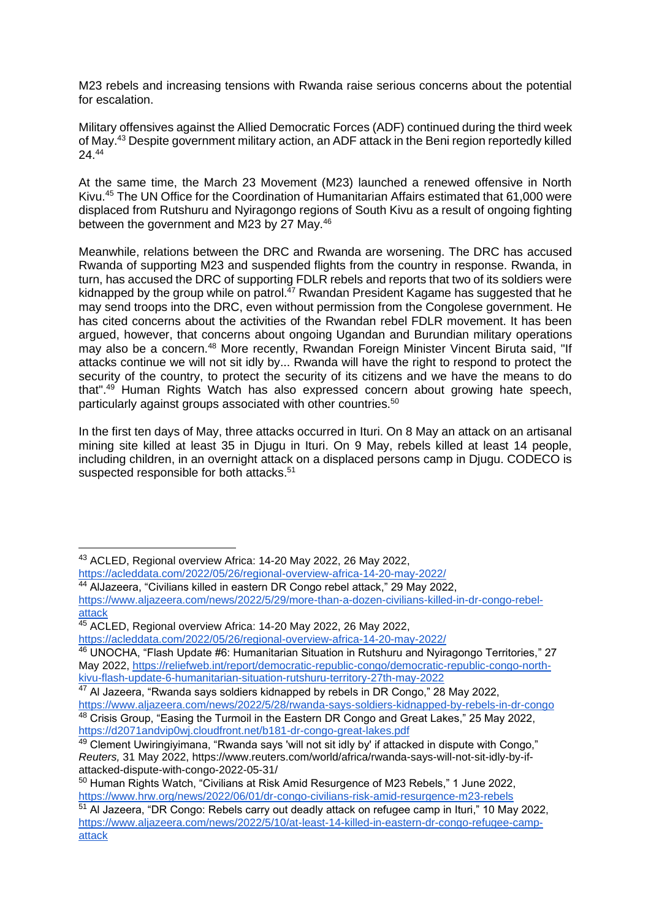M23 rebels and increasing tensions with Rwanda raise serious concerns about the potential for escalation.

Military offensives against the Allied Democratic Forces (ADF) continued during the third week of May.<sup>43</sup> Despite government military action, an ADF attack in the Beni region reportedly killed 24.<sup>44</sup>

At the same time, the March 23 Movement (M23) launched a renewed offensive in North Kivu.<sup>45</sup> The UN Office for the Coordination of Humanitarian Affairs estimated that 61,000 were displaced from Rutshuru and Nyiragongo regions of South Kivu as a result of ongoing fighting between the government and M23 by 27 May.<sup>46</sup>

Meanwhile, relations between the DRC and Rwanda are worsening. The DRC has accused Rwanda of supporting M23 and suspended flights from the country in response. Rwanda, in turn, has accused the DRC of supporting FDLR rebels and reports that two of its soldiers were kidnapped by the group while on patrol.<sup> $47$ </sup> Rwandan President Kagame has suggested that he may send troops into the DRC, even without permission from the Congolese government. He has cited concerns about the activities of the Rwandan rebel FDLR movement. It has been argued, however, that concerns about ongoing Ugandan and Burundian military operations may also be a concern.<sup>48</sup> More recently, Rwandan Foreign Minister Vincent Biruta said, "If attacks continue we will not sit idly by... Rwanda will have the right to respond to protect the security of the country, to protect the security of its citizens and we have the means to do that".<sup>49</sup> Human Rights Watch has also expressed concern about growing hate speech, particularly against groups associated with other countries.<sup>50</sup>

In the first ten days of May, three attacks occurred in Ituri. On 8 May an attack on an artisanal mining site killed at least 35 in Djugu in Ituri. On 9 May, rebels killed at least 14 people, including children, in an overnight attack on a displaced persons camp in Djugu. CODECO is suspected responsible for both attacks.<sup>51</sup>

<https://acleddata.com/2022/05/26/regional-overview-africa-14-20-may-2022/>

<sup>44</sup> AlJazeera, "Civilians killed in eastern DR Congo rebel attack," 29 May 2022, [https://www.aljazeera.com/news/2022/5/29/more-than-a-dozen-civilians-killed-in-dr-congo-rebel](https://www.aljazeera.com/news/2022/5/29/more-than-a-dozen-civilians-killed-in-dr-congo-rebel-attack)[attack](https://www.aljazeera.com/news/2022/5/29/more-than-a-dozen-civilians-killed-in-dr-congo-rebel-attack)

<https://acleddata.com/2022/05/26/regional-overview-africa-14-20-may-2022/>

<sup>43</sup> ACLED, Regional overview Africa: 14-20 May 2022, 26 May 2022,

<sup>45</sup> ACLED, Regional overview Africa: 14-20 May 2022, 26 May 2022,

<sup>46</sup> UNOCHA, "Flash Update #6: Humanitarian Situation in Rutshuru and Nyiragongo Territories," 27 May 2022, [https://reliefweb.int/report/democratic-republic-congo/democratic-republic-congo-north](https://reliefweb.int/report/democratic-republic-congo/democratic-republic-congo-north-kivu-flash-update-6-humanitarian-situation-rutshuru-territory-27th-may-2022)[kivu-flash-update-6-humanitarian-situation-rutshuru-territory-27th-may-2022](https://reliefweb.int/report/democratic-republic-congo/democratic-republic-congo-north-kivu-flash-update-6-humanitarian-situation-rutshuru-territory-27th-may-2022)

<sup>&</sup>lt;sup>47</sup> Al Jazeera, "Rwanda says soldiers kidnapped by rebels in DR Congo," 28 May 2022, <https://www.aljazeera.com/news/2022/5/28/rwanda-says-soldiers-kidnapped-by-rebels-in-dr-congo>

<sup>48</sup> Crisis Group, "Easing the Turmoil in the Eastern DR Congo and Great Lakes," 25 May 2022, <https://d2071andvip0wj.cloudfront.net/b181-dr-congo-great-lakes.pdf>

<sup>49</sup> Clement Uwiringiyimana, "Rwanda says 'will not sit idly by' if attacked in dispute with Congo," *Reuters,* 31 May 2022, https://www.reuters.com/world/africa/rwanda-says-will-not-sit-idly-by-ifattacked-dispute-with-congo-2022-05-31/

<sup>50</sup> Human Rights Watch, "Civilians at Risk Amid Resurgence of M23 Rebels," 1 June 2022, <https://www.hrw.org/news/2022/06/01/dr-congo-civilians-risk-amid-resurgence-m23-rebels>

<sup>51</sup> Al Jazeera, "DR Congo: Rebels carry out deadly attack on refugee camp in Ituri," 10 May 2022, [https://www.aljazeera.com/news/2022/5/10/at-least-14-killed-in-eastern-dr-congo-refugee-camp](https://www.aljazeera.com/news/2022/5/10/at-least-14-killed-in-eastern-dr-congo-refugee-camp-attack)[attack](https://www.aljazeera.com/news/2022/5/10/at-least-14-killed-in-eastern-dr-congo-refugee-camp-attack)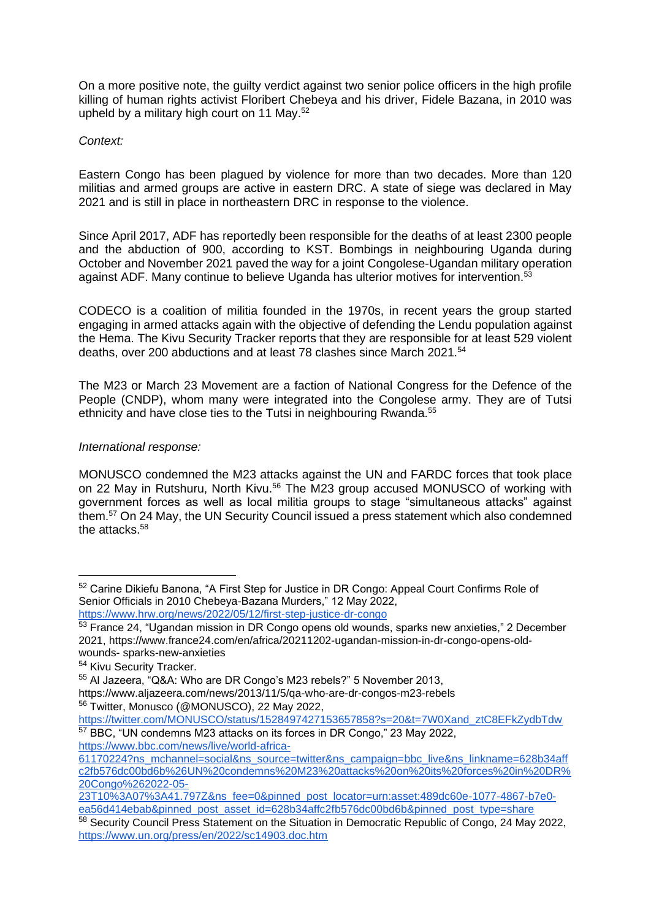On a more positive note, the guilty verdict against two senior police officers in the high profile killing of human rights activist Floribert Chebeya and his driver, Fidele Bazana, in 2010 was upheld by a military high court on 11 May.<sup>52</sup>

# *Context:*

Eastern Congo has been plagued by violence for more than two decades. More than 120 militias and armed groups are active in eastern DRC. A state of siege was declared in May 2021 and is still in place in northeastern DRC in response to the violence.

Since April 2017, ADF has reportedly been responsible for the deaths of at least 2300 people and the abduction of 900, according to KST. Bombings in neighbouring Uganda during October and November 2021 paved the way for a joint Congolese-Ugandan military operation against ADF. Many continue to believe Uganda has ulterior motives for intervention.<sup>53</sup>

CODECO is a coalition of militia founded in the 1970s, in recent years the group started engaging in armed attacks again with the objective of defending the Lendu population against the Hema. The Kivu Security Tracker reports that they are responsible for at least 529 violent deaths, over 200 abductions and at least 78 clashes since March 2021.<sup>54</sup>

The M23 or March 23 Movement are a faction of National Congress for the Defence of the People (CNDP), whom many were integrated into the Congolese army. They are of Tutsi ethnicity and have close ties to the Tutsi in neighbouring Rwanda.<sup>55</sup>

# *International response:*

MONUSCO condemned the M23 attacks against the UN and FARDC forces that took place on 22 May in Rutshuru, North Kivu.<sup>56</sup> The M23 group accused MONUSCO of working with government forces as well as local militia groups to stage "simultaneous attacks" against them.<sup>57</sup> On 24 May, the UN Security Council issued a press statement which also condemned the attacks.<sup>58</sup>

[https://www.bbc.com/news/live/world-africa-](https://www.bbc.com/news/live/world-africa-61170224?ns_mchannel=social&ns_source=twitter&ns_campaign=bbc_live&ns_linkname=628b34affc2fb576dc00bd6b%26UN%20condemns%20M23%20attacks%20on%20its%20forces%20in%20DR%20Congo%262022-05-23T10%3A07%3A41.797Z&ns_fee=0&pinned_post_locator=urn:asset:489dc60e-1077-4867-b7e0-ea56d414ebab&pinned_post_asset_id=628b34affc2fb576dc00bd6b&pinned_post_type=share)

<sup>&</sup>lt;sup>52</sup> Carine Dikiefu Banona, "A First Step for Justice in DR Congo: Appeal Court Confirms Role of Senior Officials in 2010 Chebeya-Bazana Murders," 12 May 2022, <https://www.hrw.org/news/2022/05/12/first-step-justice-dr-congo>

<sup>53</sup> France 24, "Ugandan mission in DR Congo opens old wounds, sparks new anxieties," 2 December 2021, [https://www.france24.com/en/africa/20211202-ugandan-mission-in-dr-congo-opens-old](https://www.france24.com/en/africa/20211202-ugandan-mission-in-dr-congo-opens-old-wounds-sparks-new-anxieties)[wounds-](https://www.france24.com/en/africa/20211202-ugandan-mission-in-dr-congo-opens-old-wounds-sparks-new-anxieties) [sparks-new-anxieties](https://www.france24.com/en/africa/20211202-ugandan-mission-in-dr-congo-opens-old-wounds-sparks-new-anxieties)

<sup>54</sup> Kivu Security Tracker.

<sup>55</sup> Al Jazeera, "Q&A: Who are DR Congo's M23 rebels?" 5 November 2013,

<https://www.aljazeera.com/news/2013/11/5/qa-who-are-dr-congos-m23-rebels> <sup>56</sup> Twitter, Monusco (@MONUSCO), 22 May 2022,

[https://twitter.com/MONUSCO/status/1528497427153657858?s=20&t=7W0Xand\\_ztC8EFkZydbTdw](https://twitter.com/MONUSCO/status/1528497427153657858?s=20&t=7W0Xand_ztC8EFkZydbTdw) <sup>57</sup> BBC, "UN condemns M23 attacks on its forces in DR Congo," 23 May 2022,

[<sup>61170224?</sup>ns\\_mchannel=social&ns\\_source=twitter&ns\\_campaign=bbc\\_live&ns\\_linkname=628b34aff](https://www.bbc.com/news/live/world-africa-61170224?ns_mchannel=social&ns_source=twitter&ns_campaign=bbc_live&ns_linkname=628b34affc2fb576dc00bd6b%26UN%20condemns%20M23%20attacks%20on%20its%20forces%20in%20DR%20Congo%262022-05-23T10%3A07%3A41.797Z&ns_fee=0&pinned_post_locator=urn:asset:489dc60e-1077-4867-b7e0-ea56d414ebab&pinned_post_asset_id=628b34affc2fb576dc00bd6b&pinned_post_type=share) [c2fb576dc00bd6b%26UN%20condemns%20M23%20attacks%20on%20its%20forces%20in%20DR%](https://www.bbc.com/news/live/world-africa-61170224?ns_mchannel=social&ns_source=twitter&ns_campaign=bbc_live&ns_linkname=628b34affc2fb576dc00bd6b%26UN%20condemns%20M23%20attacks%20on%20its%20forces%20in%20DR%20Congo%262022-05-23T10%3A07%3A41.797Z&ns_fee=0&pinned_post_locator=urn:asset:489dc60e-1077-4867-b7e0-ea56d414ebab&pinned_post_asset_id=628b34affc2fb576dc00bd6b&pinned_post_type=share) [20Congo%262022-05-](https://www.bbc.com/news/live/world-africa-61170224?ns_mchannel=social&ns_source=twitter&ns_campaign=bbc_live&ns_linkname=628b34affc2fb576dc00bd6b%26UN%20condemns%20M23%20attacks%20on%20its%20forces%20in%20DR%20Congo%262022-05-23T10%3A07%3A41.797Z&ns_fee=0&pinned_post_locator=urn:asset:489dc60e-1077-4867-b7e0-ea56d414ebab&pinned_post_asset_id=628b34affc2fb576dc00bd6b&pinned_post_type=share)

[<sup>23</sup>T10%3A07%3A41.797Z&ns\\_fee=0&pinned\\_post\\_locator=urn:asset:489dc60e-1077-4867-b7e0](https://www.bbc.com/news/live/world-africa-61170224?ns_mchannel=social&ns_source=twitter&ns_campaign=bbc_live&ns_linkname=628b34affc2fb576dc00bd6b%26UN%20condemns%20M23%20attacks%20on%20its%20forces%20in%20DR%20Congo%262022-05-23T10%3A07%3A41.797Z&ns_fee=0&pinned_post_locator=urn:asset:489dc60e-1077-4867-b7e0-ea56d414ebab&pinned_post_asset_id=628b34affc2fb576dc00bd6b&pinned_post_type=share) [ea56d414ebab&pinned\\_post\\_asset\\_id=628b34affc2fb576dc00bd6b&pinned\\_post\\_type=share](https://www.bbc.com/news/live/world-africa-61170224?ns_mchannel=social&ns_source=twitter&ns_campaign=bbc_live&ns_linkname=628b34affc2fb576dc00bd6b%26UN%20condemns%20M23%20attacks%20on%20its%20forces%20in%20DR%20Congo%262022-05-23T10%3A07%3A41.797Z&ns_fee=0&pinned_post_locator=urn:asset:489dc60e-1077-4867-b7e0-ea56d414ebab&pinned_post_asset_id=628b34affc2fb576dc00bd6b&pinned_post_type=share)

<sup>58</sup> Security Council Press Statement on the Situation in Democratic Republic of Congo, 24 May 2022, <https://www.un.org/press/en/2022/sc14903.doc.htm>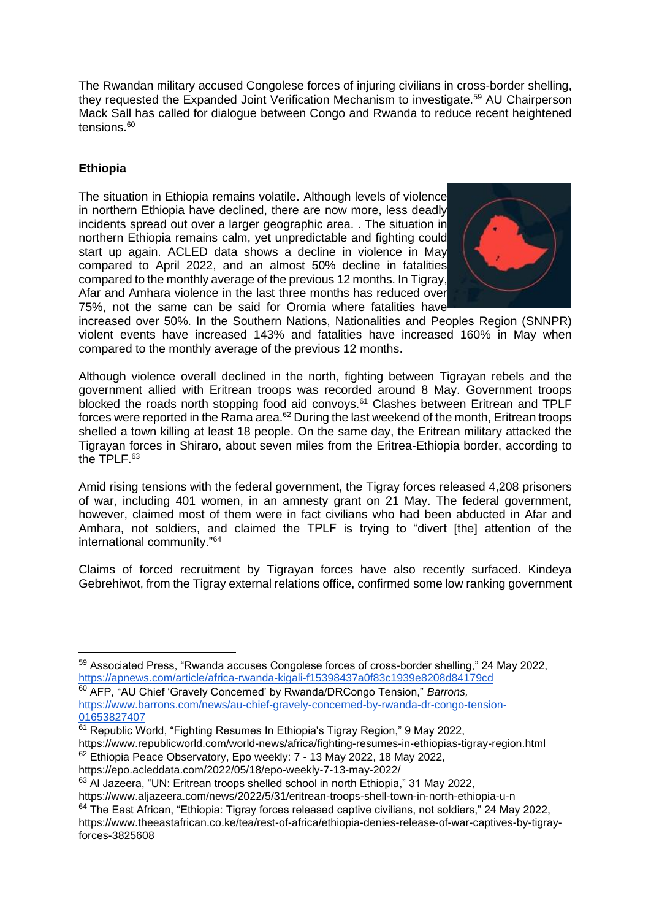The Rwandan military accused Congolese forces of injuring civilians in cross-border shelling, they requested the Expanded Joint Verification Mechanism to investigate.<sup>59</sup> AU Chairperson Mack Sall has called for dialogue between Congo and Rwanda to reduce recent heightened tensions.<sup>60</sup>

# **Ethiopia**

The situation in Ethiopia remains volatile. Although levels of violence in northern Ethiopia have declined, there are now more, less deadly incidents spread out over a larger geographic area. . The situation in northern Ethiopia remains calm, yet unpredictable and fighting could start up again. ACLED data shows a decline in violence in May compared to April 2022, and an almost 50% decline in fatalities compared to the monthly average of the previous 12 months. In Tigray, Afar and Amhara violence in the last three months has reduced over 75%, not the same can be said for Oromia where fatalities have



increased over 50%. In the Southern Nations, Nationalities and Peoples Region (SNNPR) violent events have increased 143% and fatalities have increased 160% in May when compared to the monthly average of the previous 12 months.

Although violence overall declined in the north, fighting between Tigrayan rebels and the government allied with Eritrean troops was recorded around 8 May. Government troops blocked the roads north stopping food aid convoys.<sup>61</sup> Clashes between Eritrean and TPLF forces were reported in the Rama area.<sup>62</sup> During the last weekend of the month, Eritrean troops shelled a town killing at least 18 people. On the same day, the Eritrean military attacked the Tigrayan forces in Shiraro, about seven miles from the Eritrea-Ethiopia border, according to the TPLF.<sup>63</sup>

Amid rising tensions with the federal government, the Tigray forces released 4,208 prisoners of war, including 401 women, in an amnesty grant on 21 May. The federal government, however, claimed most of them were in fact civilians who had been abducted in Afar and Amhara, not soldiers, and claimed the TPLF is trying to "divert [the] attention of the international community."<sup>64</sup>

Claims of forced recruitment by Tigrayan forces have also recently surfaced. Kindeya Gebrehiwot, from the Tigray external relations office, confirmed some low ranking government

- <https://www.republicworld.com/world-news/africa/fighting-resumes-in-ethiopias-tigray-region.html> <sup>62</sup> Ethiopia Peace Observatory, Epo weekly: 7 - 13 May 2022, 18 May 2022,
- <https://epo.acleddata.com/2022/05/18/epo-weekly-7-13-may-2022/>

<sup>63</sup> Al Jazeera, "UN: Eritrean troops shelled school in north Ethiopia," 31 May 2022,

<sup>59</sup> Associated Press, "Rwanda accuses Congolese forces of cross-border shelling," 24 May 2022, <https://apnews.com/article/africa-rwanda-kigali-f15398437a0f83c1939e8208d84179cd>

<sup>60</sup> AFP, "AU Chief 'Gravely Concerned' by Rwanda/DRCongo Tension," *Barrons,*  [https://www.barrons.com/news/au-chief-gravely-concerned-by-rwanda-dr-congo-tension-](https://www.barrons.com/news/au-chief-gravely-concerned-by-rwanda-dr-congo-tension-01653827407)[01653827407](https://www.barrons.com/news/au-chief-gravely-concerned-by-rwanda-dr-congo-tension-01653827407)

<sup>&</sup>lt;sup>61</sup> Republic World, "Fighting Resumes In Ethiopia's Tigray Region," 9 May 2022,

<https://www.aljazeera.com/news/2022/5/31/eritrean-troops-shell-town-in-north-ethiopia-u-n>

 $64$  The East African, "Ethiopia: Tigray forces released captive civilians, not soldiers," 24 May 2022, [https://www.theeastafrican.co.ke/tea/rest-of-africa/ethiopia-denies-release-of-war-captives-by-tigray](https://www.theeastafrican.co.ke/tea/rest-of-africa/ethiopia-denies-release-of-war-captives-by-tigray-forces-3825608)[forces-3825608](https://www.theeastafrican.co.ke/tea/rest-of-africa/ethiopia-denies-release-of-war-captives-by-tigray-forces-3825608)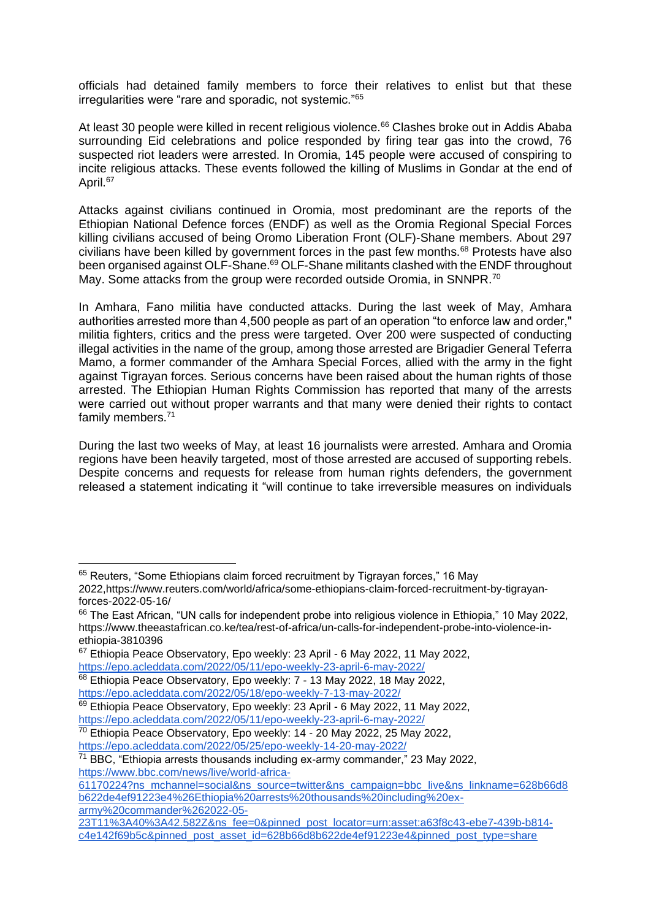officials had detained family members to force their relatives to enlist but that these irregularities were "rare and sporadic, not systemic."<sup>65</sup>

At least 30 people were killed in recent religious violence.<sup>66</sup> Clashes broke out in Addis Ababa surrounding Eid celebrations and police responded by firing tear gas into the crowd. 76 suspected riot leaders were arrested. In Oromia, 145 people were accused of conspiring to incite religious attacks. These events followed the killing of Muslims in Gondar at the end of April.<sup>67</sup>

Attacks against civilians continued in Oromia, most predominant are the reports of the Ethiopian National Defence forces (ENDF) as well as the Oromia Regional Special Forces killing civilians accused of being Oromo Liberation Front (OLF)-Shane members. About 297 civilians have been killed by government forces in the past few months.<sup>68</sup> Protests have also been organised against OLF-Shane.<sup>69</sup> OLF-Shane militants clashed with the ENDF throughout May. Some attacks from the group were recorded outside Oromia, in SNNPR.<sup>70</sup>

In Amhara, Fano militia have conducted attacks. During the last week of May, Amhara authorities arrested more than 4,500 people as part of an operation "to enforce law and order," militia fighters, critics and the press were targeted. Over 200 were suspected of conducting illegal activities in the name of the group, among those arrested are Brigadier General Teferra Mamo, a former commander of the Amhara Special Forces, allied with the army in the fight against Tigrayan forces. Serious concerns have been raised about the human rights of those arrested. The Ethiopian Human Rights Commission has reported that many of the arrests were carried out without proper warrants and that many were denied their rights to contact family members.<sup>71</sup>

During the last two weeks of May, at least 16 journalists were arrested. Amhara and Oromia regions have been heavily targeted, most of those arrested are accused of supporting rebels. Despite concerns and requests for release from human rights defenders, the government released a statement indicating it "will continue to take irreversible measures on individuals

<sup>&</sup>lt;sup>65</sup> Reuters, "Some Ethiopians claim forced recruitment by Tigrayan forces," 16 May 2022[,https://www.reuters.com/world/africa/some-ethiopians-claim-forced-recruitment-by-tigrayan](https://www.reuters.com/world/africa/some-ethiopians-claim-forced-recruitment-by-tigrayan-forces-2022-05-16/)[forces-2022-05-16/](https://www.reuters.com/world/africa/some-ethiopians-claim-forced-recruitment-by-tigrayan-forces-2022-05-16/)

<sup>&</sup>lt;sup>66</sup> The East African, "UN calls for independent probe into religious violence in Ethiopia," 10 May 2022, [https://www.theeastafrican.co.ke/tea/rest-of-africa/un-calls-for-independent-probe-into-violence-in](https://www.theeastafrican.co.ke/tea/rest-of-africa/un-calls-for-independent-probe-into-violence-in-ethiopia-3810396)[ethiopia-3810396](https://www.theeastafrican.co.ke/tea/rest-of-africa/un-calls-for-independent-probe-into-violence-in-ethiopia-3810396)

<sup>&</sup>lt;sup>67</sup> Ethiopia Peace Observatory, Epo weekly: 23 April - 6 May 2022, 11 May 2022, <https://epo.acleddata.com/2022/05/11/epo-weekly-23-april-6-may-2022/>

<sup>&</sup>lt;sup>68</sup> Ethiopia Peace Observatory, Epo weekly: 7 - 13 May 2022, 18 May 2022, <https://epo.acleddata.com/2022/05/18/epo-weekly-7-13-may-2022/>

<sup>&</sup>lt;sup>69</sup> Ethiopia Peace Observatory, Epo weekly: 23 April - 6 May 2022, 11 May 2022, <https://epo.acleddata.com/2022/05/11/epo-weekly-23-april-6-may-2022/>

<sup>&</sup>lt;sup>70</sup> Ethiopia Peace Observatory, Epo weekly: 14 - 20 May 2022, 25 May 2022, <https://epo.acleddata.com/2022/05/25/epo-weekly-14-20-may-2022/>

<sup>71</sup> BBC, "Ethiopia arrests thousands including ex-army commander," 23 May 2022, [https://www.bbc.com/news/live/world-africa-](https://www.bbc.com/news/live/world-africa-61170224?ns_mchannel=social&ns_source=twitter&ns_campaign=bbc_live&ns_linkname=628b66d8b622de4ef91223e4%26Ethiopia%20arrests%20thousands%20including%20ex-army%20commander%262022-05-23T11%3A40%3A42.582Z&ns_fee=0&pinned_post_locator=urn:asset:a63f8c43-ebe7-439b-b814-c4e142f69b5c&pinned_post_asset_id=628b66d8b622de4ef91223e4&pinned_post_type=share)

[<sup>61170224?</sup>ns\\_mchannel=social&ns\\_source=twitter&ns\\_campaign=bbc\\_live&ns\\_linkname=628b66d8](https://www.bbc.com/news/live/world-africa-61170224?ns_mchannel=social&ns_source=twitter&ns_campaign=bbc_live&ns_linkname=628b66d8b622de4ef91223e4%26Ethiopia%20arrests%20thousands%20including%20ex-army%20commander%262022-05-23T11%3A40%3A42.582Z&ns_fee=0&pinned_post_locator=urn:asset:a63f8c43-ebe7-439b-b814-c4e142f69b5c&pinned_post_asset_id=628b66d8b622de4ef91223e4&pinned_post_type=share) [b622de4ef91223e4%26Ethiopia%20arrests%20thousands%20including%20ex](https://www.bbc.com/news/live/world-africa-61170224?ns_mchannel=social&ns_source=twitter&ns_campaign=bbc_live&ns_linkname=628b66d8b622de4ef91223e4%26Ethiopia%20arrests%20thousands%20including%20ex-army%20commander%262022-05-23T11%3A40%3A42.582Z&ns_fee=0&pinned_post_locator=urn:asset:a63f8c43-ebe7-439b-b814-c4e142f69b5c&pinned_post_asset_id=628b66d8b622de4ef91223e4&pinned_post_type=share)[army%20commander%262022-05-](https://www.bbc.com/news/live/world-africa-61170224?ns_mchannel=social&ns_source=twitter&ns_campaign=bbc_live&ns_linkname=628b66d8b622de4ef91223e4%26Ethiopia%20arrests%20thousands%20including%20ex-army%20commander%262022-05-23T11%3A40%3A42.582Z&ns_fee=0&pinned_post_locator=urn:asset:a63f8c43-ebe7-439b-b814-c4e142f69b5c&pinned_post_asset_id=628b66d8b622de4ef91223e4&pinned_post_type=share)

[<sup>23</sup>T11%3A40%3A42.582Z&ns\\_fee=0&pinned\\_post\\_locator=urn:asset:a63f8c43-ebe7-439b-b814](https://www.bbc.com/news/live/world-africa-61170224?ns_mchannel=social&ns_source=twitter&ns_campaign=bbc_live&ns_linkname=628b66d8b622de4ef91223e4%26Ethiopia%20arrests%20thousands%20including%20ex-army%20commander%262022-05-23T11%3A40%3A42.582Z&ns_fee=0&pinned_post_locator=urn:asset:a63f8c43-ebe7-439b-b814-c4e142f69b5c&pinned_post_asset_id=628b66d8b622de4ef91223e4&pinned_post_type=share) [c4e142f69b5c&pinned\\_post\\_asset\\_id=628b66d8b622de4ef91223e4&pinned\\_post\\_type=share](https://www.bbc.com/news/live/world-africa-61170224?ns_mchannel=social&ns_source=twitter&ns_campaign=bbc_live&ns_linkname=628b66d8b622de4ef91223e4%26Ethiopia%20arrests%20thousands%20including%20ex-army%20commander%262022-05-23T11%3A40%3A42.582Z&ns_fee=0&pinned_post_locator=urn:asset:a63f8c43-ebe7-439b-b814-c4e142f69b5c&pinned_post_asset_id=628b66d8b622de4ef91223e4&pinned_post_type=share)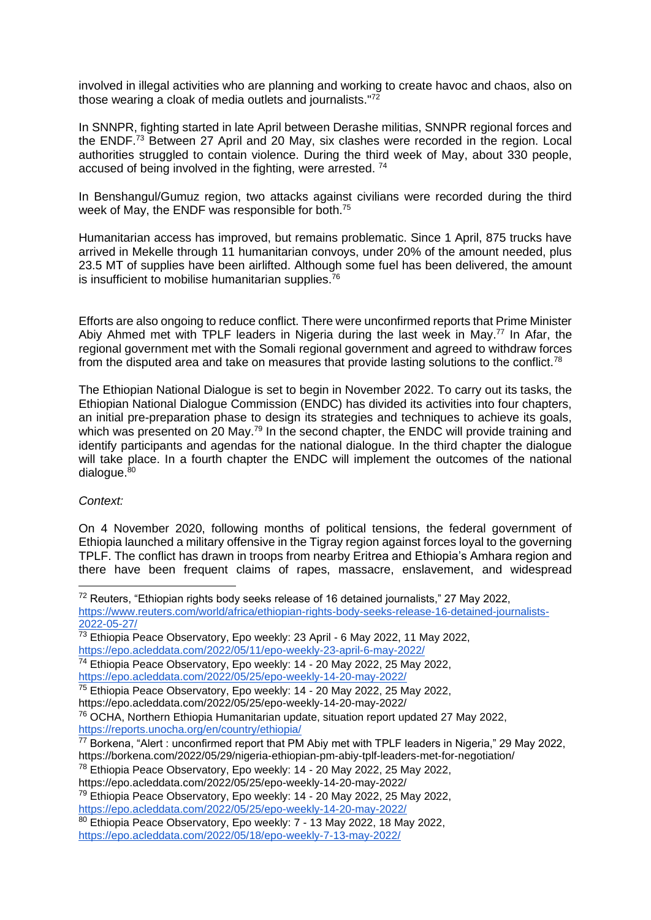involved in illegal activities who are planning and working to create havoc and chaos, also on those wearing a cloak of media outlets and journalists."<sup>72</sup>

In SNNPR, fighting started in late April between Derashe militias, SNNPR regional forces and the ENDF.<sup>73</sup> Between 27 April and 20 May, six clashes were recorded in the region. Local authorities struggled to contain violence. During the third week of May, about 330 people, accused of being involved in the fighting, were arrested. <sup>74</sup>

In Benshangul/Gumuz region, two attacks against civilians were recorded during the third week of May, the ENDF was responsible for both.<sup>75</sup>

Humanitarian access has improved, but remains problematic. Since 1 April, 875 trucks have arrived in Mekelle through 11 humanitarian convoys, under 20% of the amount needed, plus 23.5 MT of supplies have been airlifted. Although some fuel has been delivered, the amount is insufficient to mobilise humanitarian supplies.<sup>76</sup>

Efforts are also ongoing to reduce conflict. There were unconfirmed reports that Prime Minister Abiy Ahmed met with TPLF leaders in Nigeria during the last week in May.<sup>77</sup> In Afar, the regional government met with the Somali regional government and agreed to withdraw forces from the disputed area and take on measures that provide lasting solutions to the conflict.<sup>78</sup>

The Ethiopian National Dialogue is set to begin in November 2022. To carry out its tasks, the Ethiopian National Dialogue Commission (ENDC) has divided its activities into four chapters, an initial pre-preparation phase to design its strategies and techniques to achieve its goals, which was presented on 20 May.<sup>79</sup> In the second chapter, the ENDC will provide training and identify participants and agendas for the national dialogue. In the third chapter the dialogue will take place. In a fourth chapter the ENDC will implement the outcomes of the national  $dialoque.<sup>80</sup>$ 

*Context:*

On 4 November 2020, following months of political tensions, the federal government of Ethiopia launched a military offensive in the Tigray region against forces loyal to the governing TPLF. The conflict has drawn in troops from nearby Eritrea and Ethiopia's Amhara region and there have been frequent claims of rapes, massacre, enslavement, and widespread

<sup>72</sup> Reuters, "Ethiopian rights body seeks release of 16 detained journalists," 27 May 2022,

[https://www.reuters.com/world/africa/ethiopian-rights-body-seeks-release-16-detained-journalists-](https://www.reuters.com/world/africa/ethiopian-rights-body-seeks-release-16-detained-journalists-2022-05-27/)[2022-05-27/](https://www.reuters.com/world/africa/ethiopian-rights-body-seeks-release-16-detained-journalists-2022-05-27/)

<sup>73</sup> Ethiopia Peace Observatory, Epo weekly: 23 April - 6 May 2022, 11 May 2022,

<https://epo.acleddata.com/2022/05/11/epo-weekly-23-april-6-may-2022/>

<sup>74</sup> Ethiopia Peace Observatory, Epo weekly: 14 - 20 May 2022, 25 May 2022, <https://epo.acleddata.com/2022/05/25/epo-weekly-14-20-may-2022/>

<sup>75</sup> Ethiopia Peace Observatory, Epo weekly: 14 - 20 May 2022, 25 May 2022,

<https://epo.acleddata.com/2022/05/25/epo-weekly-14-20-may-2022/>

<sup>76</sup> OCHA, Northern Ethiopia Humanitarian update, situation report updated 27 May 2022, <https://reports.unocha.org/en/country/ethiopia/>

<sup>77</sup> Borkena, "Alert : unconfirmed report that PM Abiy met with TPLF leaders in Nigeria," 29 May 2022, <https://borkena.com/2022/05/29/nigeria-ethiopian-pm-abiy-tplf-leaders-met-for-negotiation/>

<sup>78</sup> Ethiopia Peace Observatory, Epo weekly: 14 - 20 May 2022, 25 May 2022,

<https://epo.acleddata.com/2022/05/25/epo-weekly-14-20-may-2022/>

<sup>&</sup>lt;sup>79</sup> Ethiopia Peace Observatory, Epo weekly: 14 - 20 May 2022, 25 May 2022, <https://epo.acleddata.com/2022/05/25/epo-weekly-14-20-may-2022/>

<sup>80</sup> Ethiopia Peace Observatory, Epo weekly: 7 - 13 May 2022, 18 May 2022, <https://epo.acleddata.com/2022/05/18/epo-weekly-7-13-may-2022/>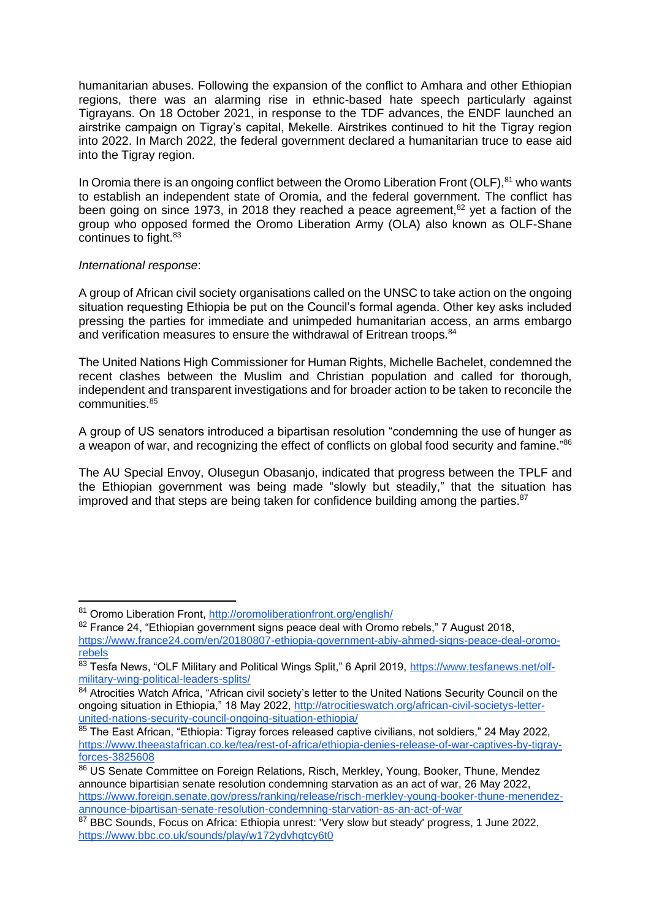humanitarian abuses. Following the expansion of the conflict to Amhara and other Ethiopian regions, there was an alarming rise in ethnic-based hate speech particularly against Tigrayans. On 18 October 2021, in response to the TDF advances, the ENDF launched an airstrike campaign on Tigray's capital, Mekelle. Airstrikes continued to hit the Tigray region into 2022. In March 2022, the federal government declared a humanitarian truce to ease aid into the Tigray region.

In Oromia there is an ongoing conflict between the Oromo Liberation Front (OLF), $81$  who wants to establish an independent state of Oromia, and the federal government. The conflict has been going on since 1973, in 2018 they reached a peace agreement,<sup>82</sup> yet a faction of the group who opposed formed the Oromo Liberation Army (OLA) also known as OLF-Shane continues to fight.<sup>83</sup>

#### *International response*:

A group of African civil society organisations called on the UNSC to take action on the ongoing situation requesting Ethiopia be put on the Council's formal agenda. Other key asks included pressing the parties for immediate and unimpeded humanitarian access, an arms embargo and verification measures to ensure the withdrawal of Eritrean troops.<sup>84</sup>

The United Nations High Commissioner for Human Rights, Michelle Bachelet, condemned the recent clashes between the Muslim and Christian population and called for thorough, independent and transparent investigations and for broader action to be taken to reconcile the communities.<sup>85</sup>

A group of US senators introduced a bipartisan resolution "condemning the use of hunger as a weapon of war, and recognizing the effect of conflicts on global food security and famine."<sup>86</sup>

The AU Special Envoy, Olusegun Obasanjo, indicated that progress between the TPLF and the Ethiopian government was being made "slowly but steadily," that the situation has improved and that steps are being taken for confidence building among the parties. $87$ 

<sup>81</sup> Oromo Liberation Front,<http://oromoliberationfront.org/english/>

<sup>82</sup> France 24, "Ethiopian government signs peace deal with Oromo rebels," 7 August 2018, [https://www.france24.com/en/20180807-ethiopia-government-abiy-ahmed-signs-peace-deal-oromo](https://www.france24.com/en/20180807-ethiopia-government-abiy-ahmed-signs-peace-deal-oromo-rebels)[rebels](https://www.france24.com/en/20180807-ethiopia-government-abiy-ahmed-signs-peace-deal-oromo-rebels)

 $83$  Tesfa News, "OLF Military and Political Wings Split," 6 April 2019, [https://www.tesfanews.net/olf](https://www.tesfanews.net/olf-military-wing-political-leaders-splits/)[military-wing-political-leaders-splits/](https://www.tesfanews.net/olf-military-wing-political-leaders-splits/)

<sup>84</sup> Atrocities Watch Africa, "African civil society's letter to the United Nations Security Council on the ongoing situation in Ethiopia," 18 May 2022, [http://atrocitieswatch.org/african-civil-societys-letter](http://atrocitieswatch.org/african-civil-societys-letter-united-nations-security-council-ongoing-situation-ethiopia/)[united-nations-security-council-ongoing-situation-ethiopia/](http://atrocitieswatch.org/african-civil-societys-letter-united-nations-security-council-ongoing-situation-ethiopia/)

 $85$  The East African, "Ethiopia: Tigray forces released captive civilians, not soldiers," 24 May 2022, [https://www.theeastafrican.co.ke/tea/rest-of-africa/ethiopia-denies-release-of-war-captives-by-tigray](https://www.theeastafrican.co.ke/tea/rest-of-africa/ethiopia-denies-release-of-war-captives-by-tigray-forces-3825608)[forces-3825608](https://www.theeastafrican.co.ke/tea/rest-of-africa/ethiopia-denies-release-of-war-captives-by-tigray-forces-3825608)

<sup>86</sup> US Senate Committee on Foreign Relations, Risch, Merkley, Young, Booker, Thune, Mendez announce bipartisian senate resolution condemning starvation as an act of war, 26 May 2022, [https://www.foreign.senate.gov/press/ranking/release/risch-merkley-young-booker-thune-menendez](https://www.foreign.senate.gov/press/ranking/release/risch-merkley-young-booker-thune-menendez-announce-bipartisan-senate-resolution-condemning-starvation-as-an-act-of-war)[announce-bipartisan-senate-resolution-condemning-starvation-as-an-act-of-war](https://www.foreign.senate.gov/press/ranking/release/risch-merkley-young-booker-thune-menendez-announce-bipartisan-senate-resolution-condemning-starvation-as-an-act-of-war)

<sup>87</sup> BBC Sounds, Focus on Africa: Ethiopia unrest: 'Very slow but steady' progress, 1 June 2022, <https://www.bbc.co.uk/sounds/play/w172ydvhqtcy6t0>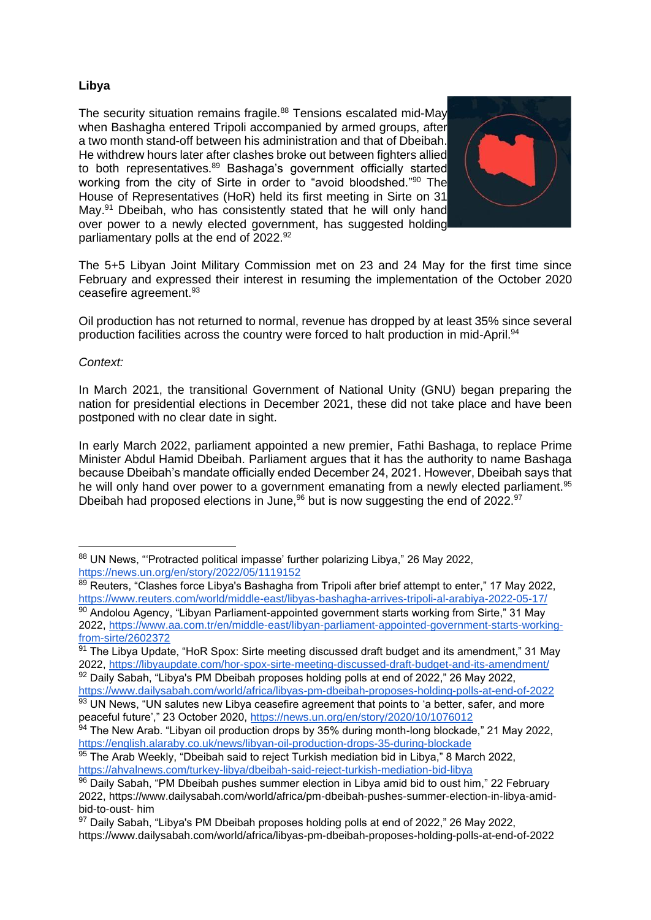# **Libya**

The security situation remains fragile.<sup>88</sup> Tensions escalated mid-May when Bashagha entered Tripoli accompanied by armed groups, after a two month stand-off between his administration and that of Dbeibah. He withdrew hours later after clashes broke out between fighters allied to both representatives.<sup>89</sup> Bashaga's government officially started working from the city of Sirte in order to "avoid bloodshed."<sup>90</sup> The House of Representatives (HoR) held its first meeting in Sirte on 31 May.<sup>91</sup> Dbeibah, who has consistently stated that he will only hand over power to a newly elected government, has suggested holding parliamentary polls at the end of 2022.<sup>92</sup>



The 5+5 Libyan Joint Military Commission met on 23 and 24 May for the first time since February and expressed their interest in resuming the implementation of the October 2020 ceasefire agreement.<sup>93</sup>

Oil production has not returned to normal, revenue has dropped by at least 35% since several production facilities across the country were forced to halt production in mid-April.<sup>94</sup>

# *Context:*

In March 2021, the transitional Government of National Unity (GNU) began preparing the nation for presidential elections in December 2021, these did not take place and have been postponed with no clear date in sight.

In early March 2022, parliament appointed a new premier, Fathi Bashaga, to replace Prime Minister Abdul Hamid Dbeibah. Parliament argues that it has the authority to name Bashaga because Dbeibah's mandate officially ended December 24, 2021. However, Dbeibah says that he will only hand over power to a government emanating from a newly elected parliament.<sup>95</sup> Dbeibah had proposed elections in June.<sup>96</sup> but is now suggesting the end of 2022.<sup>97</sup>

<sup>88</sup> UN News, "Protracted political impasse' further polarizing Libya," 26 May 2022, <https://news.un.org/en/story/2022/05/1119152>

<sup>89</sup> Reuters, "Clashes force Libya's Bashagha from Tripoli after brief attempt to enter," 17 May 2022, <https://www.reuters.com/world/middle-east/libyas-bashagha-arrives-tripoli-al-arabiya-2022-05-17/> 90 Andolou Agency, "Libyan Parliament-appointed government starts working from Sirte," 31 May

<sup>2022,</sup> [https://www.aa.com.tr/en/middle-east/libyan-parliament-appointed-government-starts-working](https://www.aa.com.tr/en/middle-east/libyan-parliament-appointed-government-starts-working-from-sirte/2602372)[from-sirte/2602372](https://www.aa.com.tr/en/middle-east/libyan-parliament-appointed-government-starts-working-from-sirte/2602372)

<sup>91</sup> The Libya Update, "HoR Spox: Sirte meeting discussed draft budget and its amendment," 31 May 2022,<https://libyaupdate.com/hor-spox-sirte-meeting-discussed-draft-budget-and-its-amendment/> 92 Daily Sabah, "Libya's PM Dbeibah proposes holding polls at end of 2022," 26 May 2022,

<https://www.dailysabah.com/world/africa/libyas-pm-dbeibah-proposes-holding-polls-at-end-of-2022> 93 UN News, "UN salutes new Libya ceasefire agreement that points to 'a better, safer, and more

peaceful future'," 23 October 2020,<https://news.un.org/en/story/2020/10/1076012>

 $94$  The New Arab. "Libyan oil production drops by 35% during month-long blockade," 21 May 2022, <https://english.alaraby.co.uk/news/libyan-oil-production-drops-35-during-blockade>

<sup>95</sup> The Arab Weekly, "Dbeibah said to reject Turkish mediation bid in Libya," 8 March 2022, <https://ahvalnews.com/turkey-libya/dbeibah-said-reject-turkish-mediation-bid-libya>

 $96$  Daily Sabah, "PM Dbeibah pushes summer election in Libya amid bid to oust him," 22 February 2022, https://www.dailysabah.com/world/africa/pm-dbeibah-pushes-summer-election-in-libya-amidbid-to-oust- him

 $97$  Daily Sabah, "Libya's PM Dbeibah proposes holding polls at end of 2022," 26 May 2022, <https://www.dailysabah.com/world/africa/libyas-pm-dbeibah-proposes-holding-polls-at-end-of-2022>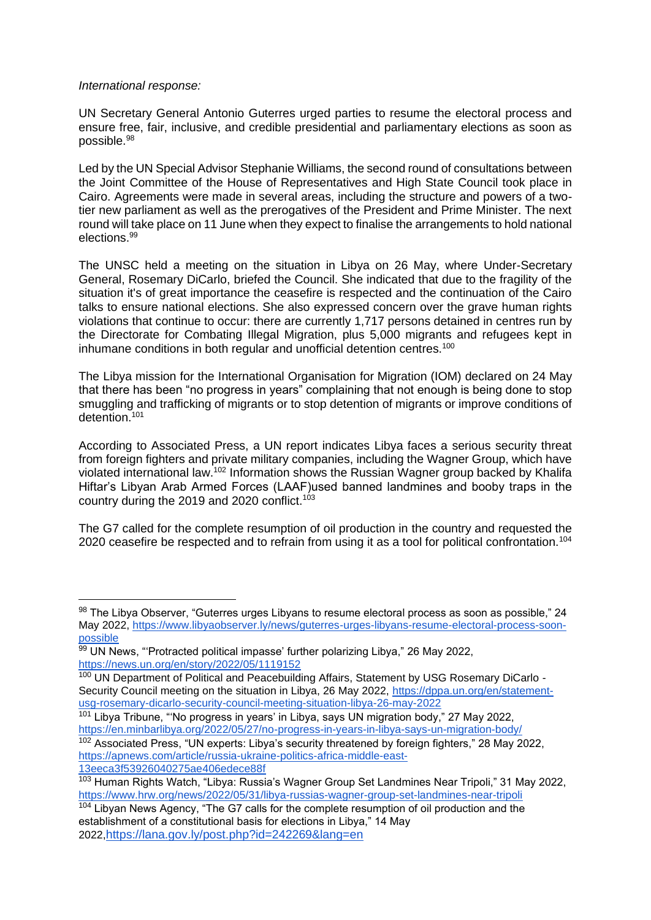#### *International response:*

UN Secretary General Antonio Guterres urged parties to resume the electoral process and ensure free, fair, inclusive, and credible presidential and parliamentary elections as soon as possible.<sup>98</sup>

Led by the UN Special Advisor Stephanie Williams, the second round of consultations between the Joint Committee of the House of Representatives and High State Council took place in Cairo. Agreements were made in several areas, including the structure and powers of a twotier new parliament as well as the prerogatives of the President and Prime Minister. The next round will take place on 11 June when they expect to finalise the arrangements to hold national elections.<sup>99</sup>

The UNSC held a meeting on the situation in Libya on 26 May, where Under-Secretary General, Rosemary DiCarlo, briefed the Council. She indicated that due to the fragility of the situation it's of great importance the ceasefire is respected and the continuation of the Cairo talks to ensure national elections. She also expressed concern over the grave human rights violations that continue to occur: there are currently 1,717 persons detained in centres run by the Directorate for Combating Illegal Migration, plus 5,000 migrants and refugees kept in inhumane conditions in both regular and unofficial detention centres.<sup>100</sup>

The Libya mission for the International Organisation for Migration (IOM) declared on 24 May that there has been "no progress in years" complaining that not enough is being done to stop smuggling and trafficking of migrants or to stop detention of migrants or improve conditions of detention.<sup>101</sup>

According to Associated Press, a UN report indicates Libya faces a serious security threat from foreign fighters and private military companies, including the Wagner Group, which have violated international law.<sup>102</sup> Information shows the Russian Wagner group backed by Khalifa Hiftar's Libyan Arab Armed Forces (LAAF)used banned landmines and booby traps in the country during the 2019 and 2020 conflict.<sup>103</sup>

The G7 called for the complete resumption of oil production in the country and requested the 2020 ceasefire be respected and to refrain from using it as a tool for political confrontation.<sup>104</sup>

<sup>98</sup> The Libya Observer, "Guterres urges Libyans to resume electoral process as soon as possible," 24 May 2022, [https://www.libyaobserver.ly/news/guterres-urges-libyans-resume-electoral-process-soon](https://www.libyaobserver.ly/news/guterres-urges-libyans-resume-electoral-process-soon-possible)[possible](https://www.libyaobserver.ly/news/guterres-urges-libyans-resume-electoral-process-soon-possible)

<sup>99</sup> UN News, "Protracted political impasse' further polarizing Libya," 26 May 2022, <https://news.un.org/en/story/2022/05/1119152>

<sup>&</sup>lt;sup>100</sup> UN Department of Political and Peacebuilding Affairs, Statement by USG Rosemary DiCarlo -Security Council meeting on the situation in Libya, 26 May 2022, [https://dppa.un.org/en/statement](https://dppa.un.org/en/statement-usg-rosemary-dicarlo-security-council-meeting-situation-libya-26-may-2022)[usg-rosemary-dicarlo-security-council-meeting-situation-libya-26-may-2022](https://dppa.un.org/en/statement-usg-rosemary-dicarlo-security-council-meeting-situation-libya-26-may-2022)

<sup>&</sup>lt;sup>101</sup> Libya Tribune, "'No progress in years' in Libya, says UN migration body," 27 May 2022, <https://en.minbarlibya.org/2022/05/27/no-progress-in-years-in-libya-says-un-migration-body/>

<sup>&</sup>lt;sup>102</sup> Associated Press, "UN experts: Libya's security threatened by foreign fighters," 28 May 2022, [https://apnews.com/article/russia-ukraine-politics-africa-middle-east-](https://apnews.com/article/russia-ukraine-politics-africa-middle-east-13eeca3f53926040275ae406edece88f)[13eeca3f53926040275ae406edece88f](https://apnews.com/article/russia-ukraine-politics-africa-middle-east-13eeca3f53926040275ae406edece88f)

<sup>&</sup>lt;sup>103</sup> Human Rights Watch, "Libya: Russia's Wagner Group Set Landmines Near Tripoli," 31 May 2022, <https://www.hrw.org/news/2022/05/31/libya-russias-wagner-group-set-landmines-near-tripoli>

 $104$  Libyan News Agency, "The G7 calls for the complete resumption of oil production and the establishment of a constitutional basis for elections in Libya," 14 May 2022,<https://lana.gov.ly/post.php?id=242269&lang=en>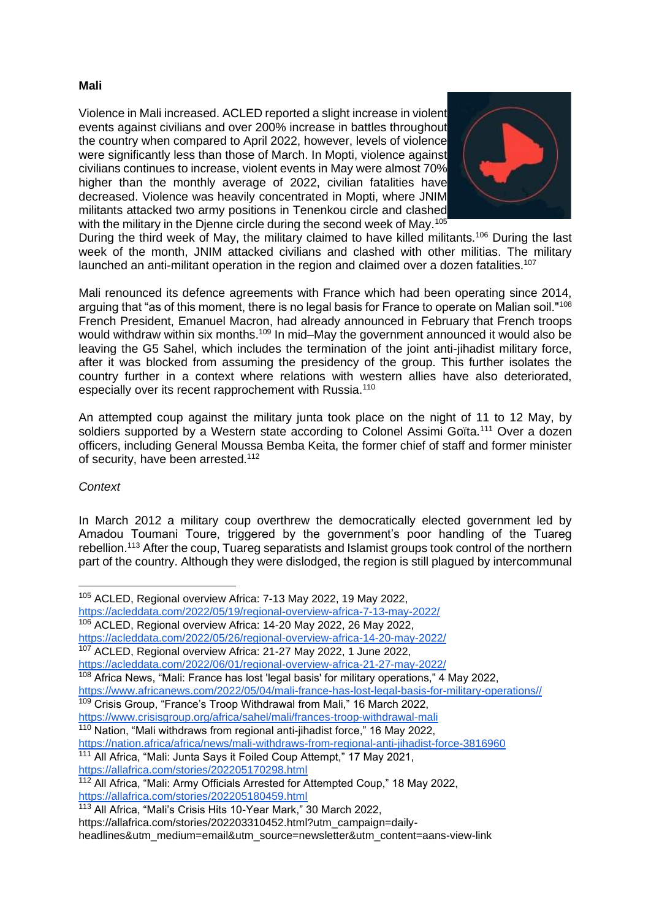#### **Mali**

Violence in Mali increased. ACLED reported a slight increase in violent events against civilians and over 200% increase in battles throughout the country when compared to April 2022, however, levels of violence were significantly less than those of March. In Mopti, violence against civilians continues to increase, violent events in May were almost 70% higher than the monthly average of 2022, civilian fatalities have decreased. Violence was heavily concentrated in Mopti, where JNIM militants attacked two army positions in Tenenkou circle and clashed with the military in the Djenne circle during the second week of May.<sup>105</sup>



During the third week of May, the military claimed to have killed militants.<sup>106</sup> During the last week of the month, JNIM attacked civilians and clashed with other militias. The military launched an anti-militant operation in the region and claimed over a dozen fatalities.<sup>107</sup>

Mali renounced its defence agreements with France which had been operating since 2014, arguing that "as of this moment, there is no legal basis for France to operate on Malian soil."<sup>108</sup> French President, Emanuel Macron, had already announced in February that French troops would withdraw within six months.<sup>109</sup> In mid–May the government announced it would also be leaving the G5 Sahel, which includes the termination of the joint anti-jihadist military force, after it was blocked from assuming the presidency of the group. This further isolates the country further in a context where relations with western allies have also deteriorated, especially over its recent rapprochement with Russia.<sup>110</sup>

An attempted coup against the military junta took place on the night of 11 to 12 May, by soldiers supported by a Western state according to Colonel Assimi Goïta.<sup>111</sup> Over a dozen officers, including General Moussa Bemba Keita, the former chief of staff and former minister of security, have been arrested.<sup>112</sup>

# *Context*

In March 2012 a military coup overthrew the democratically elected government led by Amadou Toumani Toure, triggered by the government's poor handling of the Tuareg rebellion.<sup>113</sup> After the coup, Tuareg separatists and Islamist groups took control of the northern part of the country. Although they were dislodged, the region is still plagued by intercommunal

<sup>106</sup> ACLED, Regional overview Africa: 14-20 May 2022, 26 May 2022,

<https://acleddata.com/2022/06/01/regional-overview-africa-21-27-may-2022/>

- <sup>109</sup> Crisis Group, "France's Troop Withdrawal from Mali," 16 March 2022,
- <https://www.crisisgroup.org/africa/sahel/mali/frances-troop-withdrawal-mali>
- 110 Nation, "Mali withdraws from regional anti-jihadist force," 16 May 2022, <https://nation.africa/africa/news/mali-withdraws-from-regional-anti-jihadist-force-3816960>
- <sup>111</sup> All Africa, "Mali: Junta Says it Foiled Coup Attempt," 17 May 2021, <https://allafrica.com/stories/202205170298.html>

<sup>105</sup> ACLED, Regional overview Africa: 7-13 May 2022, 19 May 2022,

<https://acleddata.com/2022/05/19/regional-overview-africa-7-13-may-2022/>

<https://acleddata.com/2022/05/26/regional-overview-africa-14-20-may-2022/>

<sup>107</sup> ACLED, Regional overview Africa: 21-27 May 2022, 1 June 2022,

 $108$  Africa News, "Mali: France has lost 'legal basis' for military operations," 4 May 2022,

[https://www.africanews.com/2022/05/04/mali-france-has-lost-legal-basis-for-military-operations//](https://www.africanews.com/2022/05/04/mali-france-has-lost-legal-basis-for-military-operations/)

<sup>&</sup>lt;sup>112</sup> All Africa, "Mali: Army Officials Arrested for Attempted Coup," 18 May 2022, <https://allafrica.com/stories/202205180459.html>

<sup>113</sup> All Africa, "Mali's Crisis Hits 10-Year Mark," 30 March 2022,

https://allafrica.com/stories/202203310452.html?utm\_campaign=daily-

headlines&utm\_medium=email&utm\_source=newsletter&utm\_content=aans-view-link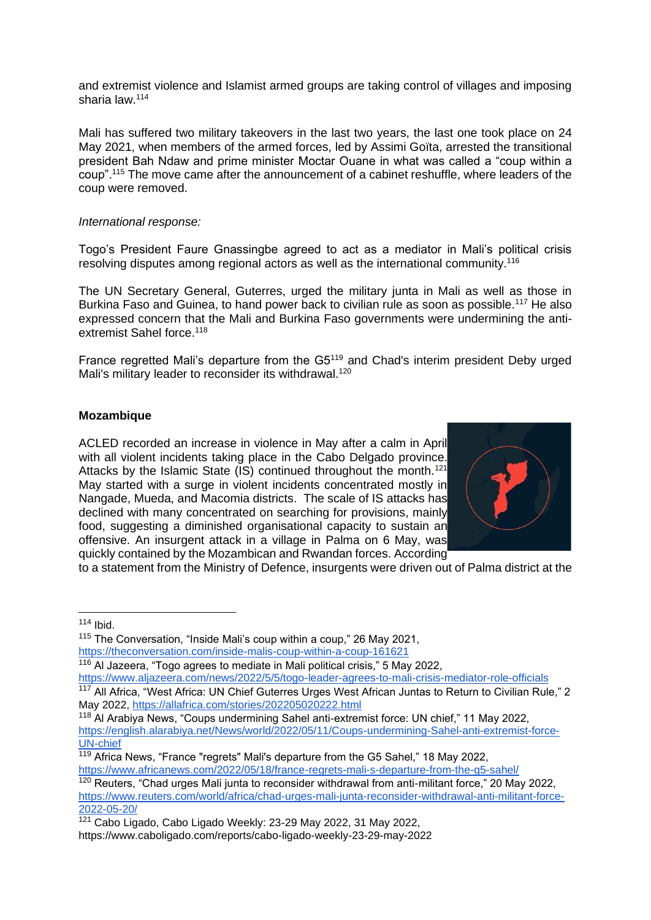and extremist violence and Islamist armed groups are taking control of villages and imposing sharia law.<sup>114</sup>

Mali has suffered two military takeovers in the last two years, the last one took place on 24 May 2021, when members of the armed forces, led by Assimi Goïta, arrested the transitional president Bah Ndaw and prime minister Moctar Ouane in what was called a "coup within a coup".<sup>115</sup> The move came after the announcement of a cabinet reshuffle, where leaders of the coup were removed.

#### *International response:*

Togo's President Faure Gnassingbe agreed to act as a mediator in Mali's political crisis resolving disputes among regional actors as well as the international community.<sup>116</sup>

The UN Secretary General, Guterres, urged the military junta in Mali as well as those in Burkina Faso and Guinea, to hand power back to civilian rule as soon as possible.<sup>117</sup> He also expressed concern that the Mali and Burkina Faso governments were undermining the antiextremist Sahel force.<sup>118</sup>

France regretted Mali's departure from the G5<sup>119</sup> and Chad's interim president Deby urged Mali's military leader to reconsider its withdrawal.<sup>120</sup>

#### **Mozambique**

ACLED recorded an increase in violence in May after a calm in April with all violent incidents taking place in the Cabo Delgado province. Attacks by the Islamic State (IS) continued throughout the month.<sup>121</sup> May started with a surge in violent incidents concentrated mostly in Nangade, Mueda, and Macomia districts. The scale of IS attacks has declined with many concentrated on searching for provisions, mainly food, suggesting a diminished organisational capacity to sustain an offensive. An insurgent attack in a village in Palma on 6 May, was quickly contained by the Mozambican and Rwandan forces. According



to a statement from the Ministry of Defence, insurgents were driven out of Palma district at the

 $114$  Ibid.

<https://www.aljazeera.com/news/2022/5/5/togo-leader-agrees-to-mali-crisis-mediator-role-officials> <sup>117</sup> All Africa, "West Africa: UN Chief Guterres Urges West African Juntas to Return to Civilian Rule," 2 May 2022,<https://allafrica.com/stories/202205020222.html>

<sup>&</sup>lt;sup>115</sup> The Conversation, "Inside Mali's coup within a coup," 26 May 2021, <https://theconversation.com/inside-malis-coup-within-a-coup-161621>

<sup>116</sup> Al Jazeera, "Togo agrees to mediate in Mali political crisis," 5 May 2022,

<sup>118</sup> Al Arabiya News, "Coups undermining Sahel anti-extremist force: UN chief," 11 May 2022, [https://english.alarabiya.net/News/world/2022/05/11/Coups-undermining-Sahel-anti-extremist-force-](https://english.alarabiya.net/News/world/2022/05/11/Coups-undermining-Sahel-anti-extremist-force-UN-chief)[UN-chief](https://english.alarabiya.net/News/world/2022/05/11/Coups-undermining-Sahel-anti-extremist-force-UN-chief)

 $\frac{119}{119}$  Africa News, "France "regrets" Mali's departure from the G5 Sahel," 18 May 2022, <https://www.africanews.com/2022/05/18/france-regrets-mali-s-departure-from-the-g5-sahel/>

<sup>&</sup>lt;sup>120</sup> Reuters, "Chad urges Mali junta to reconsider withdrawal from anti-militant force," 20 May 2022, [https://www.reuters.com/world/africa/chad-urges-mali-junta-reconsider-withdrawal-anti-militant-force-](https://www.reuters.com/world/africa/chad-urges-mali-junta-reconsider-withdrawal-anti-militant-force-2022-05-20/)[2022-05-20/](https://www.reuters.com/world/africa/chad-urges-mali-junta-reconsider-withdrawal-anti-militant-force-2022-05-20/)

<sup>&</sup>lt;sup>121</sup> Cabo Ligado, Cabo Ligado Weekly: 23-29 May 2022, 31 May 2022, <https://www.caboligado.com/reports/cabo-ligado-weekly-23-29-may-2022>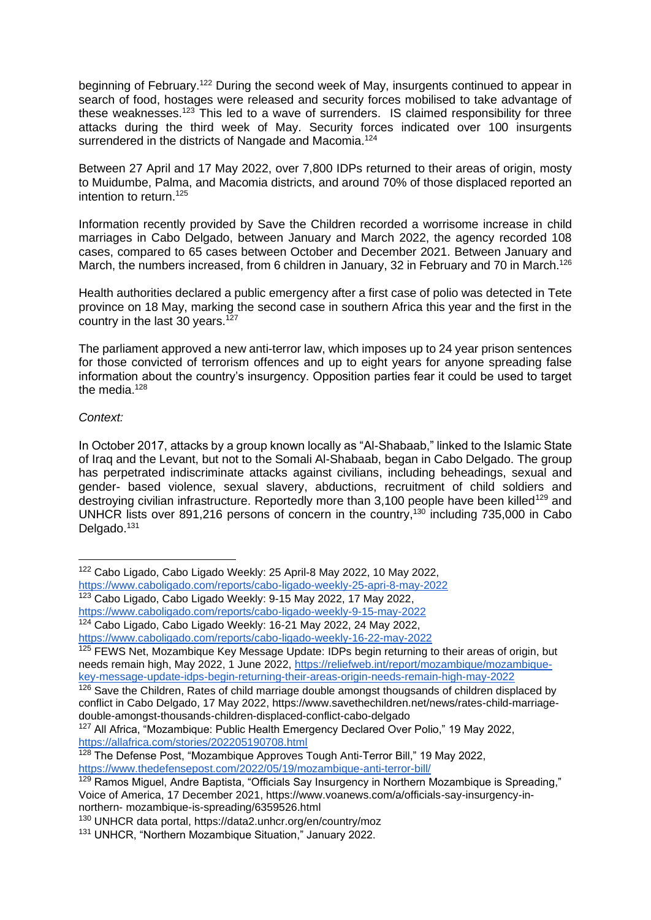beginning of February.<sup>122</sup> During the second week of May, insurgents continued to appear in search of food, hostages were released and security forces mobilised to take advantage of these weaknesses.<sup>123</sup> This led to a wave of surrenders. IS claimed responsibility for three attacks during the third week of May. Security forces indicated over 100 insurgents surrendered in the districts of Nangade and Macomia.<sup>124</sup>

Between 27 April and 17 May 2022, over 7,800 IDPs returned to their areas of origin, mosty to Muidumbe, Palma, and Macomia districts, and around 70% of those displaced reported an intention to return.<sup>125</sup>

Information recently provided by Save the Children recorded a worrisome increase in child marriages in Cabo Delgado, between January and March 2022, the agency recorded 108 cases, compared to 65 cases between October and December 2021. Between January and March, the numbers increased, from 6 children in January, 32 in February and 70 in March.<sup>126</sup>

Health authorities declared a public emergency after a first case of polio was detected in Tete province on 18 May, marking the second case in southern Africa this year and the first in the country in the last 30 years.<sup>127</sup>

The parliament approved a new anti-terror law, which imposes up to 24 year prison sentences for those convicted of terrorism offences and up to eight years for anyone spreading false information about the country's insurgency. Opposition parties fear it could be used to target the media. $128$ 

#### *Context:*

In October 2017, attacks by a group known locally as "Al-Shabaab," linked to the Islamic State of Iraq and the Levant, but not to the Somali Al-Shabaab, began in Cabo Delgado. The group has perpetrated indiscriminate attacks against civilians, including beheadings, sexual and gender- based violence, sexual slavery, abductions, recruitment of child soldiers and destroying civilian infrastructure. Reportedly more than  $3,100$  people have been killed<sup>129</sup> and UNHCR lists over 891,216 persons of concern in the country,<sup>130</sup> including 735,000 in Cabo Delgado.<sup>131</sup>

<sup>122</sup> Cabo Ligado, Cabo Ligado Weekly: 25 April-8 May 2022, 10 May 2022,

<https://www.caboligado.com/reports/cabo-ligado-weekly-25-apri-8-may-2022> <sup>123</sup> Cabo Ligado, Cabo Ligado Weekly: 9-15 May 2022, 17 May 2022,

<https://www.caboligado.com/reports/cabo-ligado-weekly-9-15-may-2022>

<sup>124</sup> Cabo Ligado, Cabo Ligado Weekly: 16-21 May 2022, 24 May 2022,

<https://www.caboligado.com/reports/cabo-ligado-weekly-16-22-may-2022>

<sup>&</sup>lt;sup>125</sup> FEWS Net, Mozambique Key Message Update: IDPs begin returning to their areas of origin, but needs remain high, May 2022, 1 June 2022, [https://reliefweb.int/report/mozambique/mozambique](https://reliefweb.int/report/mozambique/mozambique-key-message-update-idps-begin-returning-their-areas-origin-needs-remain-high-may-2022)[key-message-update-idps-begin-returning-their-areas-origin-needs-remain-high-may-2022](https://reliefweb.int/report/mozambique/mozambique-key-message-update-idps-begin-returning-their-areas-origin-needs-remain-high-may-2022)

<sup>126</sup> Save the Children, Rates of child marriage double amongst thougsands of children displaced by conflict in Cabo Delgado, 17 May 2022, [https://www.savethechildren.net/news/rates-child-marriage](https://www.savethechildren.net/news/rates-child-marriage-double-amongst-thousands-children-displaced-conflict-cabo-delgado)[double-amongst-thousands-children-displaced-conflict-cabo-delgado](https://www.savethechildren.net/news/rates-child-marriage-double-amongst-thousands-children-displaced-conflict-cabo-delgado)

<sup>&</sup>lt;sup>127</sup> All Africa, "Mozambique: Public Health Emergency Declared Over Polio," 19 May 2022, <https://allafrica.com/stories/202205190708.html>

<sup>&</sup>lt;sup>128</sup> The Defense Post, "Mozambique Approves Tough Anti-Terror Bill," 19 May 2022, <https://www.thedefensepost.com/2022/05/19/mozambique-anti-terror-bill/>

<sup>&</sup>lt;sup>129</sup> Ramos Miquel, Andre Baptista, "Officials Say Insurgency in Northern Mozambique is Spreading," Voice of America, 17 December 2021, https://www.voanews.com/a/officials-say-insurgency-innorthern- mozambique-is-spreading/6359526.html

<sup>130</sup> UNHCR data portal,<https://data2.unhcr.org/en/country/moz>

<sup>131</sup> UNHCR, "Northern Mozambique Situation," January 2022.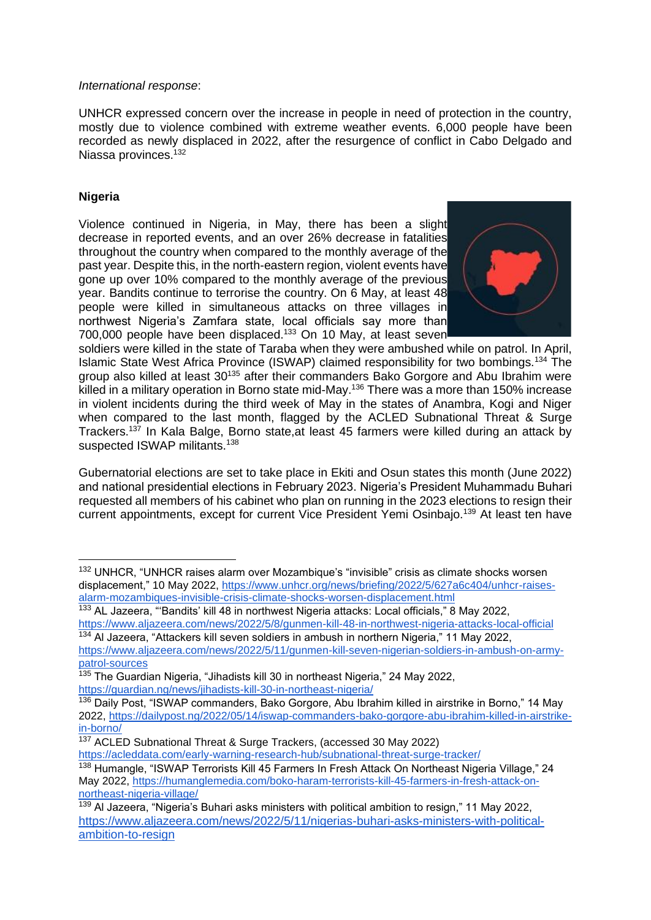#### *International response*:

UNHCR expressed concern over the increase in people in need of protection in the country, mostly due to violence combined with extreme weather events. 6,000 people have been recorded as newly displaced in 2022, after the resurgence of conflict in Cabo Delgado and Niassa provinces.<sup>132</sup>

# **Nigeria**

Violence continued in Nigeria, in May, there has been a slight decrease in reported events, and an over 26% decrease in fatalities throughout the country when compared to the monthly average of the past year. Despite this, in the north-eastern region, violent events have gone up over 10% compared to the monthly average of the previous year. Bandits continue to terrorise the country. On 6 May, at least 48 people were killed in simultaneous attacks on three villages in northwest Nigeria's Zamfara state, local officials say more than 700,000 people have been displaced.<sup>133</sup> On 10 May, at least seven



soldiers were killed in the state of Taraba when they were ambushed while on patrol. In April, Islamic State West Africa Province (ISWAP) claimed responsibility for two bombings.<sup>134</sup> The group also killed at least 30<sup>135</sup> after their commanders Bako Gorgore and Abu Ibrahim were killed in a military operation in Borno state mid-May.<sup>136</sup> There was a more than 150% increase in violent incidents during the third week of May in the states of Anambra, Kogi and Niger when compared to the last month, flagged by the ACLED Subnational Threat & Surge Trackers.<sup>137</sup> In Kala Balge, Borno state,at least 45 farmers were killed during an attack by suspected ISWAP militants.<sup>138</sup>

Gubernatorial elections are set to take place in Ekiti and Osun states this month (June 2022) and national presidential elections in February 2023. Nigeria's President Muhammadu Buhari requested all members of his cabinet who plan on running in the 2023 elections to resign their current appointments, except for current Vice President Yemi Osinbajo.<sup>139</sup> At least ten have

<sup>&</sup>lt;sup>132</sup> UNHCR, "UNHCR raises alarm over Mozambique's "invisible" crisis as climate shocks worsen displacement," 10 May 2022, [https://www.unhcr.org/news/briefing/2022/5/627a6c404/unhcr-raises](https://www.unhcr.org/news/briefing/2022/5/627a6c404/unhcr-raises-alarm-mozambiques-invisible-crisis-climate-shocks-worsen-displacement.html)[alarm-mozambiques-invisible-crisis-climate-shocks-worsen-displacement.html](https://www.unhcr.org/news/briefing/2022/5/627a6c404/unhcr-raises-alarm-mozambiques-invisible-crisis-climate-shocks-worsen-displacement.html)

<sup>&</sup>lt;sup>133</sup> AL Jazeera, "Bandits' kill 48 in northwest Nigeria attacks: Local officials," 8 May 2022, <https://www.aljazeera.com/news/2022/5/8/gunmen-kill-48-in-northwest-nigeria-attacks-local-official>

<sup>134</sup> Al Jazeera, "Attackers kill seven soldiers in ambush in northern Nigeria," 11 May 2022, [https://www.aljazeera.com/news/2022/5/11/gunmen-kill-seven-nigerian-soldiers-in-ambush-on-army](https://www.aljazeera.com/news/2022/5/11/gunmen-kill-seven-nigerian-soldiers-in-ambush-on-army-patrol-sources)[patrol-sources](https://www.aljazeera.com/news/2022/5/11/gunmen-kill-seven-nigerian-soldiers-in-ambush-on-army-patrol-sources)

<sup>&</sup>lt;sup>135</sup> The Guardian Nigeria, "Jihadists kill 30 in northeast Nigeria," 24 May 2022, <https://guardian.ng/news/jihadists-kill-30-in-northeast-nigeria/>

<sup>136</sup> Daily Post, "ISWAP commanders, Bako Gorgore, Abu Ibrahim killed in airstrike in Borno," 14 May 2022, [https://dailypost.ng/2022/05/14/iswap-commanders-bako-gorgore-abu-ibrahim-killed-in-airstrike](https://dailypost.ng/2022/05/14/iswap-commanders-bako-gorgore-abu-ibrahim-killed-in-airstrike-in-borno/)[in-borno/](https://dailypost.ng/2022/05/14/iswap-commanders-bako-gorgore-abu-ibrahim-killed-in-airstrike-in-borno/)

<sup>137</sup> ACLED Subnational Threat & Surge Trackers, (accessed 30 May 2022) <https://acleddata.com/early-warning-research-hub/subnational-threat-surge-tracker/>

<sup>&</sup>lt;sup>138</sup> Humangle, "ISWAP Terrorists Kill 45 Farmers In Fresh Attack On Northeast Nigeria Village," 24 May 2022, [https://humanglemedia.com/boko-haram-terrorists-kill-45-farmers-in-fresh-attack-on](https://humanglemedia.com/boko-haram-terrorists-kill-45-farmers-in-fresh-attack-on-northeast-nigeria-village/)[northeast-nigeria-village/](https://humanglemedia.com/boko-haram-terrorists-kill-45-farmers-in-fresh-attack-on-northeast-nigeria-village/)

<sup>&</sup>lt;sup>139</sup> Al Jazeera, "Nigeria's Buhari asks ministers with political ambition to resign," 11 May 2022, [https://www.aljazeera.com/news/2022/5/11/nigerias-buhari-asks-ministers-with-political](https://www.aljazeera.com/news/2022/5/11/nigerias-buhari-asks-ministers-with-political-ambition-to-resign)[ambition-to-resign](https://www.aljazeera.com/news/2022/5/11/nigerias-buhari-asks-ministers-with-political-ambition-to-resign)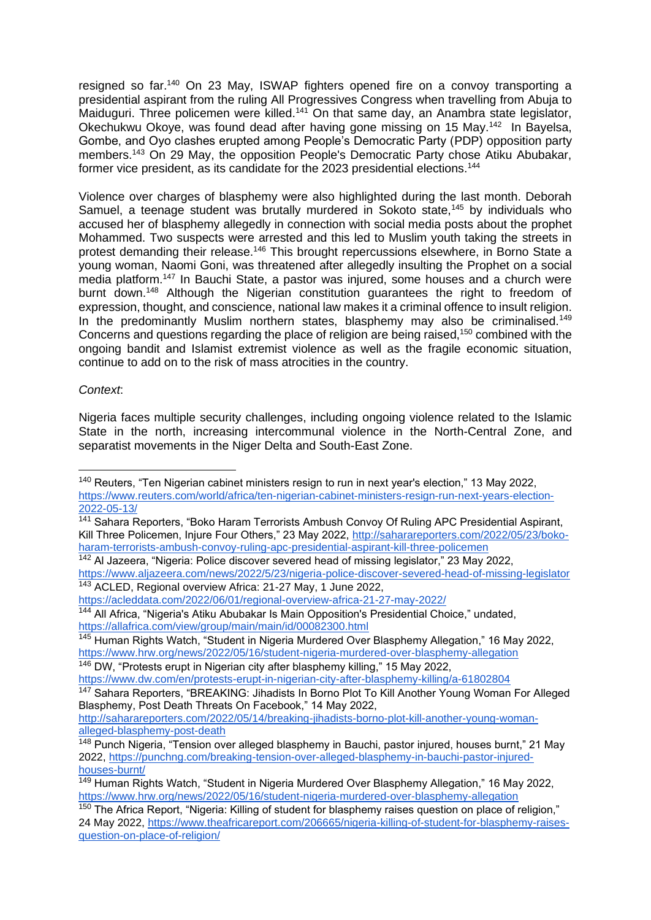resigned so far.<sup>140</sup> On 23 May, ISWAP fighters opened fire on a convoy transporting a presidential aspirant from the ruling All Progressives Congress when travelling from Abuja to Maiduguri. Three policemen were killed.<sup>141</sup> On that same day, an Anambra state legislator, Okechukwu Okoye, was found dead after having gone missing on 15 May.<sup>142</sup> In Bayelsa, Gombe, and Oyo clashes erupted among People's Democratic Party (PDP) opposition party members.<sup>143</sup> On 29 May, the opposition People's Democratic Party chose Atiku Abubakar, former vice president, as its candidate for the 2023 presidential elections.<sup>144</sup>

Violence over charges of blasphemy were also highlighted during the last month. Deborah Samuel, a teenage student was brutally murdered in Sokoto state,<sup>145</sup> by individuals who accused her of blasphemy allegedly in connection with social media posts about the prophet Mohammed. Two suspects were arrested and this led to Muslim youth taking the streets in protest demanding their release.<sup>146</sup> This brought repercussions elsewhere, in Borno State a young woman, Naomi Goni, was threatened after allegedly insulting the Prophet on a social media platform.<sup>147</sup> In Bauchi State, a pastor was injured, some houses and a church were burnt down.<sup>148</sup> Although the Nigerian constitution guarantees the right to freedom of expression, thought, and conscience, national law makes it a criminal offence to insult religion. In the predominantly Muslim northern states, blasphemy may also be criminalised.<sup>149</sup> Concerns and questions regarding the place of religion are being raised,<sup>150</sup> combined with the ongoing bandit and Islamist extremist violence as well as the fragile economic situation, continue to add on to the risk of mass atrocities in the country.

#### *Context*:

Nigeria faces multiple security challenges, including ongoing violence related to the Islamic State in the north, increasing intercommunal violence in the North-Central Zone, and separatist movements in the Niger Delta and South-East Zone.

<https://acleddata.com/2022/06/01/regional-overview-africa-21-27-may-2022/>

<sup>146</sup> DW, "Protests erupt in Nigerian city after blasphemy killing," 15 May 2022, <https://www.dw.com/en/protests-erupt-in-nigerian-city-after-blasphemy-killing/a-61802804>

<sup>140</sup> Reuters, "Ten Nigerian cabinet ministers resign to run in next year's election," 13 May 2022, [https://www.reuters.com/world/africa/ten-nigerian-cabinet-ministers-resign-run-next-years-election-](https://www.reuters.com/world/africa/ten-nigerian-cabinet-ministers-resign-run-next-years-election-2022-05-13/)[2022-05-13/](https://www.reuters.com/world/africa/ten-nigerian-cabinet-ministers-resign-run-next-years-election-2022-05-13/)

<sup>141</sup> Sahara Reporters, "Boko Haram Terrorists Ambush Convoy Of Ruling APC Presidential Aspirant, Kill Three Policemen, Injure Four Others," 23 May 2022, [http://saharareporters.com/2022/05/23/boko](http://saharareporters.com/2022/05/23/boko-haram-terrorists-ambush-convoy-ruling-apc-presidential-aspirant-kill-three-policemen)[haram-terrorists-ambush-convoy-ruling-apc-presidential-aspirant-kill-three-policemen](http://saharareporters.com/2022/05/23/boko-haram-terrorists-ambush-convoy-ruling-apc-presidential-aspirant-kill-three-policemen)

<sup>142</sup> Al Jazeera, "Nigeria: Police discover severed head of missing legislator," 23 May 2022, <https://www.aljazeera.com/news/2022/5/23/nigeria-police-discover-severed-head-of-missing-legislator> <sup>143</sup> ACLED, Regional overview Africa: 21-27 May, 1 June 2022,

<sup>&</sup>lt;sup>144</sup> All Africa, "Nigeria's Atiku Abubakar Is Main Opposition's Presidential Choice," undated, <https://allafrica.com/view/group/main/main/id/00082300.html>

<sup>145</sup> Human Rights Watch, "Student in Nigeria Murdered Over Blasphemy Allegation," 16 May 2022, <https://www.hrw.org/news/2022/05/16/student-nigeria-murdered-over-blasphemy-allegation>

<sup>147</sup> Sahara Reporters, "BREAKING: Jihadists In Borno Plot To Kill Another Young Woman For Alleged Blasphemy, Post Death Threats On Facebook," 14 May 2022,

[http://saharareporters.com/2022/05/14/breaking-jihadists-borno-plot-kill-another-young-woman](http://saharareporters.com/2022/05/14/breaking-jihadists-borno-plot-kill-another-young-woman-alleged-blasphemy-post-death)[alleged-blasphemy-post-death](http://saharareporters.com/2022/05/14/breaking-jihadists-borno-plot-kill-another-young-woman-alleged-blasphemy-post-death)

<sup>&</sup>lt;sup>148</sup> Punch Nigeria, "Tension over alleged blasphemy in Bauchi, pastor injured, houses burnt," 21 May 2022, [https://punchng.com/breaking-tension-over-alleged-blasphemy-in-bauchi-pastor-injured](https://punchng.com/breaking-tension-over-alleged-blasphemy-in-bauchi-pastor-injured-houses-burnt/)[houses-burnt/](https://punchng.com/breaking-tension-over-alleged-blasphemy-in-bauchi-pastor-injured-houses-burnt/)

<sup>&</sup>lt;sup>149</sup> Human Rights Watch, "Student in Nigeria Murdered Over Blasphemy Allegation," 16 May 2022, <https://www.hrw.org/news/2022/05/16/student-nigeria-murdered-over-blasphemy-allegation>

<sup>&</sup>lt;sup>150</sup> The Africa Report, "Nigeria: Killing of student for blasphemy raises question on place of religion," 24 May 2022, [https://www.theafricareport.com/206665/nigeria-killing-of-student-for-blasphemy-raises](https://www.theafricareport.com/206665/nigeria-killing-of-student-for-blasphemy-raises-question-on-place-of-religion/)[question-on-place-of-religion/](https://www.theafricareport.com/206665/nigeria-killing-of-student-for-blasphemy-raises-question-on-place-of-religion/)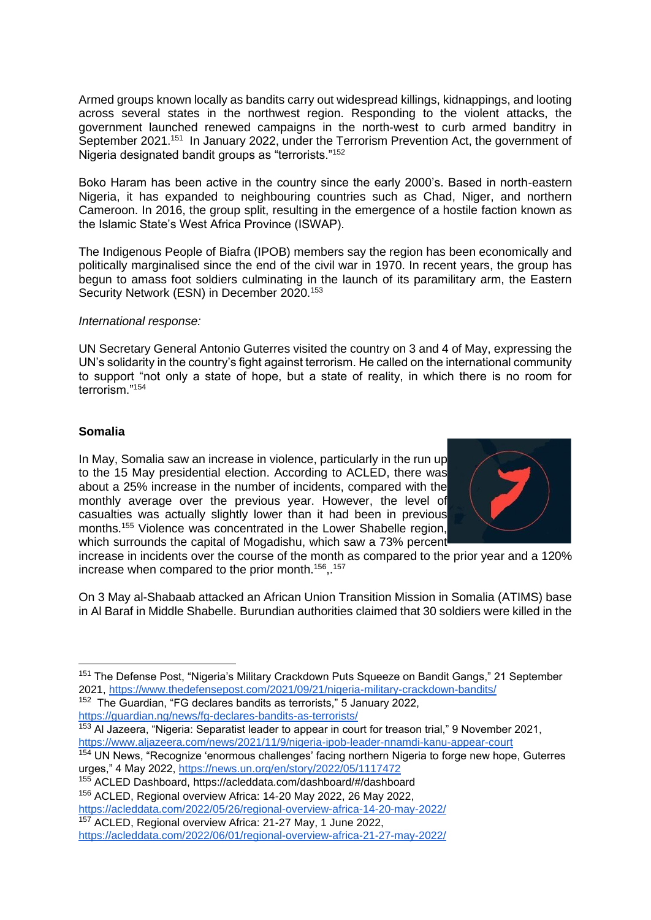Armed groups known locally as bandits carry out widespread killings, kidnappings, and looting across several states in the northwest region. Responding to the violent attacks, the government launched renewed campaigns in the north-west to curb armed banditry in September 2021.<sup>151</sup> In January 2022, under the Terrorism Prevention Act, the government of Nigeria designated bandit groups as "terrorists."<sup>152</sup>

Boko Haram has been active in the country since the early 2000's. Based in north-eastern Nigeria, it has expanded to neighbouring countries such as Chad, Niger, and northern Cameroon. In 2016, the group split, resulting in the emergence of a hostile faction known as the Islamic State's West Africa Province (ISWAP).

The Indigenous People of Biafra (IPOB) members say the region has been economically and politically marginalised since the end of the civil war in 1970. In recent years, the group has begun to amass foot soldiers culminating in the launch of its paramilitary arm, the Eastern Security Network (ESN) in December 2020.<sup>153</sup>

#### *International response:*

UN Secretary General Antonio Guterres visited the country on 3 and 4 of May, expressing the UN's solidarity in the country's fight against terrorism. He called on the international community to support "not only a state of hope, but a state of reality, in which there is no room for terrorism<sup>"154</sup>

# **Somalia**

In May, Somalia saw an increase in violence, particularly in the run up to the 15 May presidential election. According to ACLED, there was about a 25% increase in the number of incidents, compared with the monthly average over the previous year. However, the level of casualties was actually slightly lower than it had been in previous months.<sup>155</sup> Violence was concentrated in the Lower Shabelle region, which surrounds the capital of Mogadishu, which saw a 73% percent



increase in incidents over the course of the month as compared to the prior year and a 120% increase when compared to the prior month.<sup>156</sup>,.<sup>157</sup>

On 3 May al-Shabaab attacked an African Union Transition Mission in Somalia (ATIMS) base in Al Baraf in Middle Shabelle. Burundian authorities claimed that 30 soldiers were killed in the

<sup>152</sup> The Guardian, "FG declares bandits as terrorists," 5 January 2022, <https://guardian.ng/news/fg-declares-bandits-as-terrorists/>

<sup>154</sup> UN News, "Recognize 'enormous challenges' facing northern Nigeria to forge new hope, Guterres urges," 4 May 2022,<https://news.un.org/en/story/2022/05/1117472>

<sup>155</sup> ACLED Dashboard,<https://acleddata.com/dashboard/#/dashboard>

<sup>&</sup>lt;sup>151</sup> The Defense Post, "Nigeria's Military Crackdown Puts Squeeze on Bandit Gangs," 21 September 2021, <https://www.thedefensepost.com/2021/09/21/nigeria-military-crackdown-bandits/>

<sup>&</sup>lt;sup>153</sup> Al Jazeera, "Nigeria: Separatist leader to appear in court for treason trial," 9 November 2021, <https://www.aljazeera.com/news/2021/11/9/nigeria-ipob-leader-nnamdi-kanu-appear-court>

<sup>156</sup> ACLED, Regional overview Africa: 14-20 May 2022, 26 May 2022,

<https://acleddata.com/2022/05/26/regional-overview-africa-14-20-may-2022/> <sup>157</sup> ACLED, Regional overview Africa: 21-27 May, 1 June 2022,

<https://acleddata.com/2022/06/01/regional-overview-africa-21-27-may-2022/>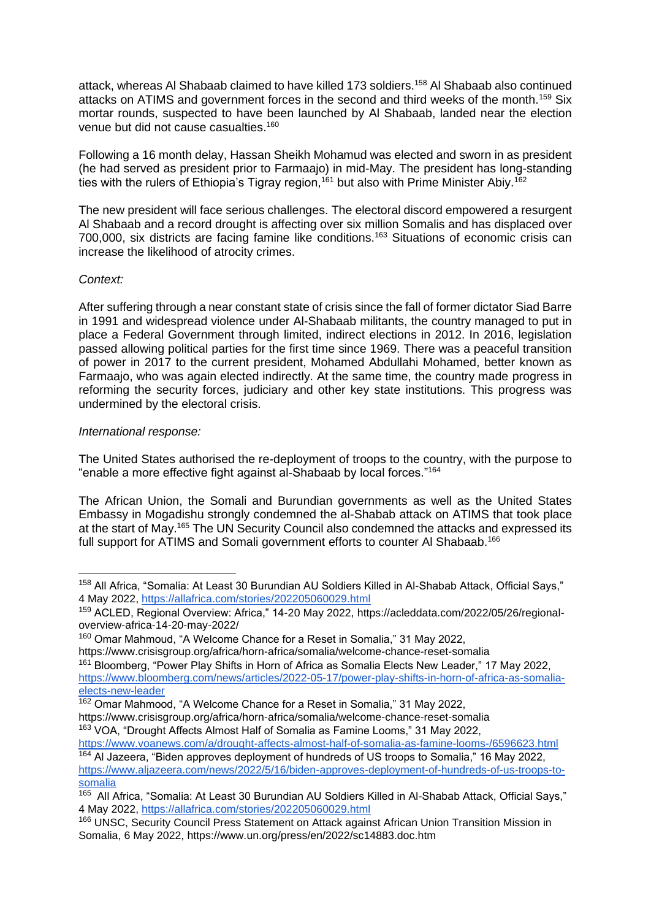attack, whereas AI Shabaab claimed to have killed 173 soldiers.<sup>158</sup> AI Shabaab also continued attacks on ATIMS and government forces in the second and third weeks of the month.<sup>159</sup> Six mortar rounds, suspected to have been launched by Al Shabaab, landed near the election venue but did not cause casualties.<sup>160</sup>

Following a 16 month delay, Hassan Sheikh Mohamud was elected and sworn in as president (he had served as president prior to Farmaajo) in mid-May. The president has long-standing ties with the rulers of Ethiopia's Tigray region,<sup>161</sup> but also with Prime Minister Abiy.<sup>162</sup>

The new president will face serious challenges. The electoral discord empowered a resurgent Al Shabaab and a record drought is affecting over six million Somalis and has displaced over 700,000, six districts are facing famine like conditions.<sup>163</sup> Situations of economic crisis can increase the likelihood of atrocity crimes.

# *Context:*

After suffering through a near constant state of crisis since the fall of former dictator Siad Barre in 1991 and widespread violence under Al-Shabaab militants, the country managed to put in place a Federal Government through limited, indirect elections in 2012. In 2016, legislation passed allowing political parties for the first time since 1969. There was a peaceful transition of power in 2017 to the current president, Mohamed Abdullahi Mohamed, better known as Farmaajo, who was again elected indirectly. At the same time, the country made progress in reforming the security forces, judiciary and other key state institutions. This progress was undermined by the electoral crisis.

#### *International response:*

The United States authorised the re-deployment of troops to the country, with the purpose to "enable a more effective fight against al-Shabaab by local forces."<sup>164</sup>

The African Union, the Somali and Burundian governments as well as the United States Embassy in Mogadishu strongly condemned the al-Shabab attack on ATIMS that took place at the start of May.<sup>165</sup> The UN Security Council also condemned the attacks and expressed its full support for ATIMS and Somali government efforts to counter AI Shabaab.<sup>166</sup>

<https://www.voanews.com/a/drought-affects-almost-half-of-somalia-as-famine-looms-/6596623.html>

<sup>&</sup>lt;sup>158</sup> All Africa, "Somalia: At Least 30 Burundian AU Soldiers Killed in Al-Shabab Attack, Official Says," 4 May 2022,<https://allafrica.com/stories/202205060029.html>

<sup>159</sup> ACLED, Regional Overview: Africa," 14-20 May 2022, [https://acleddata.com/2022/05/26/regional](https://acleddata.com/2022/05/26/regional-overview-africa-14-20-may-2022/)[overview-africa-14-20-may-2022/](https://acleddata.com/2022/05/26/regional-overview-africa-14-20-may-2022/)

<sup>160</sup> Omar Mahmoud, "A Welcome Chance for a Reset in Somalia," 31 May 2022, <https://www.crisisgroup.org/africa/horn-africa/somalia/welcome-chance-reset-somalia>

<sup>&</sup>lt;sup>161</sup> Bloomberg, "Power Play Shifts in Horn of Africa as Somalia Elects New Leader," 17 May 2022, [https://www.bloomberg.com/news/articles/2022-05-17/power-play-shifts-in-horn-of-africa-as-somalia](https://www.bloomberg.com/news/articles/2022-05-17/power-play-shifts-in-horn-of-africa-as-somalia-elects-new-leader)[elects-new-leader](https://www.bloomberg.com/news/articles/2022-05-17/power-play-shifts-in-horn-of-africa-as-somalia-elects-new-leader)

<sup>162</sup> Omar Mahmood, "A Welcome Chance for a Reset in Somalia," 31 May 2022, <https://www.crisisgroup.org/africa/horn-africa/somalia/welcome-chance-reset-somalia>

<sup>163</sup> VOA, "Drought Affects Almost Half of Somalia as Famine Looms," 31 May 2022,

<sup>&</sup>lt;sup>164</sup> Al Jazeera, "Biden approves deployment of hundreds of US troops to Somalia," 16 May 2022, [https://www.aljazeera.com/news/2022/5/16/biden-approves-deployment-of-hundreds-of-us-troops-to](https://www.aljazeera.com/news/2022/5/16/biden-approves-deployment-of-hundreds-of-us-troops-to-somalia)[somalia](https://www.aljazeera.com/news/2022/5/16/biden-approves-deployment-of-hundreds-of-us-troops-to-somalia)

<sup>&</sup>lt;sup>165</sup> All Africa, "Somalia: At Least 30 Burundian AU Soldiers Killed in Al-Shabab Attack, Official Says," 4 May 2022,<https://allafrica.com/stories/202205060029.html>

<sup>&</sup>lt;sup>166</sup> UNSC, Security Council Press Statement on Attack against African Union Transition Mission in Somalia, 6 May 2022, https://www.un.org/press/en/2022/sc14883.doc.htm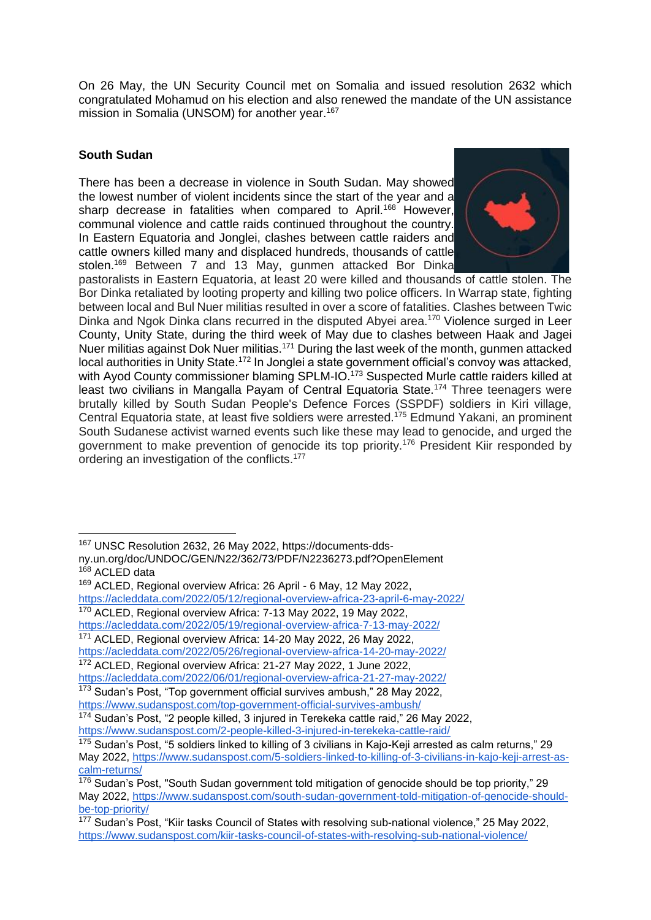On 26 May, the UN Security Council met on Somalia and issued resolution 2632 which congratulated Mohamud on his election and also renewed the mandate of the UN assistance mission in Somalia (UNSOM) for another year.<sup>167</sup>

# **South Sudan**

There has been a decrease in violence in South Sudan. May showed the lowest number of violent incidents since the start of the year and a sharp decrease in fatalities when compared to April.<sup>168</sup> However, communal violence and cattle raids continued throughout the country. In Eastern Equatoria and Jonglei, clashes between cattle raiders and cattle owners killed many and displaced hundreds, thousands of cattle stolen.<sup>169</sup> Between 7 and 13 May, gunmen attacked Bor Dinka



pastoralists in Eastern Equatoria, at least 20 were killed and thousands of cattle stolen. The Bor Dinka retaliated by looting property and killing two police officers. In Warrap state, fighting between local and Bul Nuer militias resulted in over a score of fatalities. Clashes between Twic Dinka and Ngok Dinka clans recurred in the disputed Abyei area.<sup>170</sup> Violence surged in Leer County, Unity State, during the third week of May due to clashes between Haak and Jagei Nuer militias against Dok Nuer militias.<sup>171</sup> During the last week of the month, gunmen attacked local authorities in Unity State.<sup>172</sup> In Jonglei a state government official's convoy was attacked, with Ayod County commissioner blaming SPLM-IO.<sup>173</sup> Suspected Murle cattle raiders killed at least two civilians in Mangalla Payam of Central Equatoria State.<sup>174</sup> Three teenagers were brutally killed by South Sudan People's Defence Forces (SSPDF) soldiers in Kiri village, Central Equatoria state, at least five soldiers were arrested.<sup>175</sup> Edmund Yakani, an prominent South Sudanese activist warned events such like these may lead to genocide, and urged the government to make prevention of genocide its top priority.<sup>176</sup> President Kiir responded by ordering an investigation of the conflicts.<sup>177</sup>

<sup>172</sup> ACLED, Regional overview Africa: 21-27 May 2022, 1 June 2022, <https://acleddata.com/2022/06/01/regional-overview-africa-21-27-may-2022/> <sup>173</sup> Sudan's Post, "Top government official survives ambush," 28 May 2022,

<sup>167</sup> UNSC Resolution 2632, 26 May 2022, [https://documents-dds-](https://documents-dds-ny.un.org/doc/UNDOC/GEN/N22/362/73/PDF/N2236273.pdf?OpenElement)

[ny.un.org/doc/UNDOC/GEN/N22/362/73/PDF/N2236273.pdf?OpenElement](https://documents-dds-ny.un.org/doc/UNDOC/GEN/N22/362/73/PDF/N2236273.pdf?OpenElement) <sup>168</sup> ACLED data

<sup>169</sup> ACLED, Regional overview Africa: 26 April - 6 May, 12 May 2022, <https://acleddata.com/2022/05/12/regional-overview-africa-23-april-6-may-2022/> <sup>170</sup> ACLED, Regional overview Africa: 7-13 May 2022, 19 May 2022,

<https://acleddata.com/2022/05/19/regional-overview-africa-7-13-may-2022/> <sup>171</sup> ACLED, Regional overview Africa: 14-20 May 2022, 26 May 2022,

<https://acleddata.com/2022/05/26/regional-overview-africa-14-20-may-2022/>

<https://www.sudanspost.com/top-government-official-survives-ambush/>

<sup>174</sup> Sudan's Post, "2 people killed, 3 injured in Terekeka cattle raid," 26 May 2022, <https://www.sudanspost.com/2-people-killed-3-injured-in-terekeka-cattle-raid/>

 $175$  Sudan's Post, "5 soldiers linked to killing of 3 civilians in Kajo-Keji arrested as calm returns," 29 May 2022, [https://www.sudanspost.com/5-soldiers-linked-to-killing-of-3-civilians-in-kajo-keji-arrest-as](https://www.sudanspost.com/5-soldiers-linked-to-killing-of-3-civilians-in-kajo-keji-arrest-as-calm-returns/)[calm-returns/](https://www.sudanspost.com/5-soldiers-linked-to-killing-of-3-civilians-in-kajo-keji-arrest-as-calm-returns/)

<sup>&</sup>lt;sup>176</sup> Sudan's Post, "South Sudan government told mitigation of genocide should be top priority," 29 May 2022, [https://www.sudanspost.com/south-sudan-government-told-mitigation-of-genocide-should](https://www.sudanspost.com/south-sudan-government-told-mitigation-of-genocide-should-be-top-priority/)[be-top-priority/](https://www.sudanspost.com/south-sudan-government-told-mitigation-of-genocide-should-be-top-priority/)

<sup>&</sup>lt;sup>177</sup> Sudan's Post, "Kiir tasks Council of States with resolving sub-national violence," 25 May 2022, <https://www.sudanspost.com/kiir-tasks-council-of-states-with-resolving-sub-national-violence/>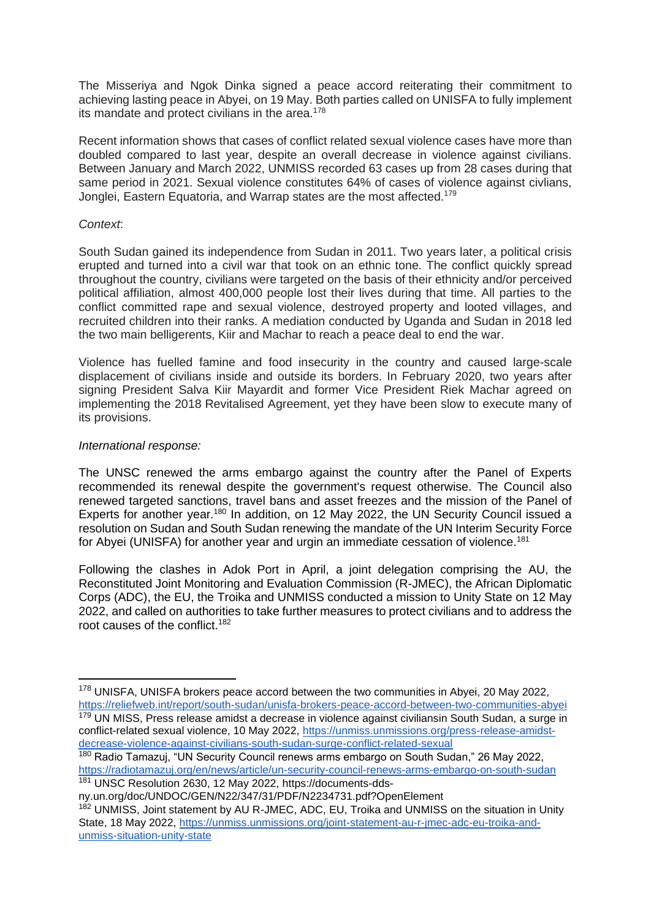The Misseriya and Ngok Dinka signed a peace accord reiterating their commitment to achieving lasting peace in Abyei, on 19 May. Both parties called on UNISFA to fully implement its mandate and protect civilians in the area.<sup>178</sup>

Recent information shows that cases of conflict related sexual violence cases have more than doubled compared to last year, despite an overall decrease in violence against civilians. Between January and March 2022, UNMISS recorded 63 cases up from 28 cases during that same period in 2021. Sexual violence constitutes 64% of cases of violence against civlians, Jonglei, Eastern Equatoria, and Warrap states are the most affected.<sup>179</sup>

### *Context*:

South Sudan gained its independence from Sudan in 2011. Two years later, a political crisis erupted and turned into a civil war that took on an ethnic tone. The conflict quickly spread throughout the country, civilians were targeted on the basis of their ethnicity and/or perceived political affiliation, almost 400,000 people lost their lives during that time. All parties to the conflict committed rape and sexual violence, destroyed property and looted villages, and recruited children into their ranks. A mediation conducted by Uganda and Sudan in 2018 led the two main belligerents, Kiir and Machar to reach a peace deal to end the war.

Violence has fuelled famine and food insecurity in the country and caused large-scale displacement of civilians inside and outside its borders. In February 2020, two years after signing President Salva Kiir Mayardit and former Vice President Riek Machar agreed on implementing the 2018 Revitalised Agreement, yet they have been slow to execute many of its provisions.

#### *International response:*

The UNSC renewed the arms embargo against the country after the Panel of Experts recommended its renewal despite the government's request otherwise. The Council also renewed targeted sanctions, travel bans and asset freezes and the mission of the Panel of Experts for another year.<sup>180</sup> In addition, on 12 May 2022, the UN Security Council issued a resolution on Sudan and South Sudan renewing the mandate of the UN Interim Security Force for Abyei (UNISFA) for another year and urgin an immediate cessation of violence.<sup>181</sup>

Following the clashes in Adok Port in April, a joint delegation comprising the AU, the Reconstituted Joint Monitoring and Evaluation Commission (R-JMEC), the African Diplomatic Corps (ADC), the EU, the Troika and UNMISS conducted a mission to Unity State on 12 May 2022, and called on authorities to take further measures to protect civilians and to address the root causes of the conflict.<sup>182</sup>

<sup>&</sup>lt;sup>178</sup> UNISFA, UNISFA brokers peace accord between the two communities in Abyei, 20 May 2022, <https://reliefweb.int/report/south-sudan/unisfa-brokers-peace-accord-between-two-communities-abyei>

 $179$  UN MISS, Press release amidst a decrease in violence against civiliansin South Sudan, a surge in conflict-related sexual violence, 10 May 2022, [https://unmiss.unmissions.org/press-release-amidst](https://unmiss.unmissions.org/press-release-amidst-decrease-violence-against-civilians-south-sudan-surge-conflict-related-sexual)[decrease-violence-against-civilians-south-sudan-surge-conflict-related-sexual](https://unmiss.unmissions.org/press-release-amidst-decrease-violence-against-civilians-south-sudan-surge-conflict-related-sexual)

<sup>&</sup>lt;sup>180</sup> Radio Tamazuj, "UN Security Council renews arms embargo on South Sudan," 26 May 2022, <https://radiotamazuj.org/en/news/article/un-security-council-renews-arms-embargo-on-south-sudan> <sup>181</sup> UNSC Resolution 2630, 12 May 2022, [https://documents-dds-](https://documents-dds-ny.un.org/doc/UNDOC/GEN/N22/347/31/PDF/N2234731.pdf?OpenElement)

[ny.un.org/doc/UNDOC/GEN/N22/347/31/PDF/N2234731.pdf?OpenElement](https://documents-dds-ny.un.org/doc/UNDOC/GEN/N22/347/31/PDF/N2234731.pdf?OpenElement)

<sup>&</sup>lt;sup>182</sup> UNMISS, Joint statement by AU R-JMEC, ADC, EU, Troika and UNMISS on the situation in Unity State, 18 May 2022, [https://unmiss.unmissions.org/joint-statement-au-r-jmec-adc-eu-troika-and](https://unmiss.unmissions.org/joint-statement-au-r-jmec-adc-eu-troika-and-unmiss-situation-unity-state)[unmiss-situation-unity-state](https://unmiss.unmissions.org/joint-statement-au-r-jmec-adc-eu-troika-and-unmiss-situation-unity-state)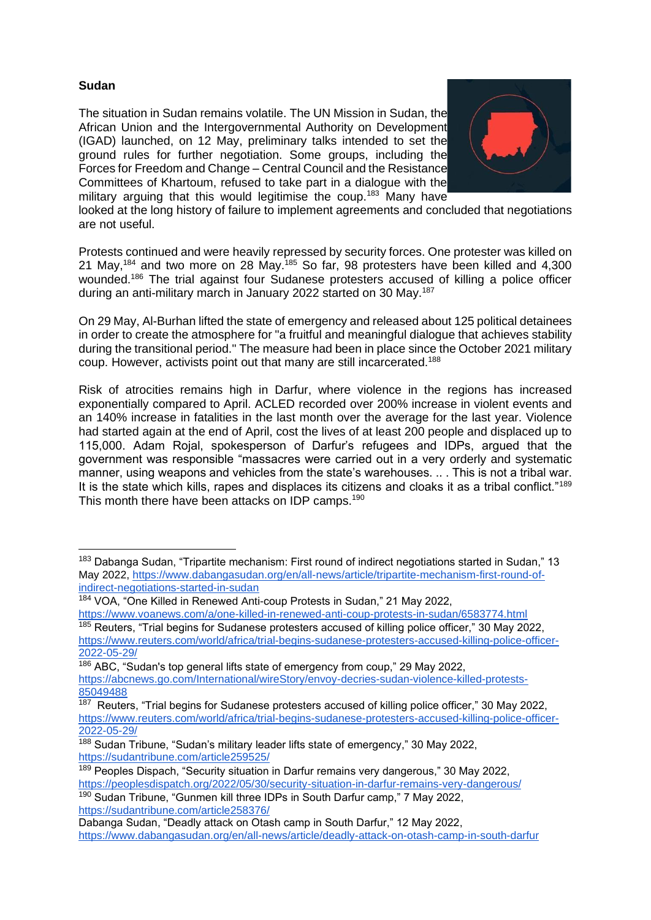# **Sudan**

The situation in Sudan remains volatile. The UN Mission in Sudan, the African Union and the Intergovernmental Authority on Development (IGAD) launched, on 12 May, preliminary talks intended to set the ground rules for further negotiation. Some groups, including the Forces for Freedom and Change – Central Council and the Resistance Committees of Khartoum, refused to take part in a dialogue with the military arguing that this would legitimise the coup.<sup>183</sup> Many have



looked at the long history of failure to implement agreements and concluded that negotiations are not useful.

Protests continued and were heavily repressed by security forces. One protester was killed on 21 May,<sup>184</sup> and two more on 28 May.<sup>185</sup> So far, 98 protesters have been killed and 4,300 wounded.<sup>186</sup> The trial against four Sudanese protesters accused of killing a police officer during an anti-military march in January 2022 started on 30 May.<sup>187</sup>

On 29 May, Al-Burhan lifted the state of emergency and released about 125 political detainees in order to create the atmosphere for "a fruitful and meaningful dialogue that achieves stability during the transitional period." The measure had been in place since the October 2021 military coup. However, activists point out that many are still incarcerated.<sup>188</sup>

Risk of atrocities remains high in Darfur, where violence in the regions has increased exponentially compared to April. ACLED recorded over 200% increase in violent events and an 140% increase in fatalities in the last month over the average for the last year. Violence had started again at the end of April, cost the lives of at least 200 people and displaced up to 115,000. Adam Rojal, spokesperson of Darfur's refugees and IDPs, argued that the government was responsible "massacres were carried out in a very orderly and systematic manner, using weapons and vehicles from the state's warehouses. .. . This is not a tribal war. It is the state which kills, rapes and displaces its citizens and cloaks it as a tribal conflict."<sup>189</sup> This month there have been attacks on IDP camps.<sup>190</sup>

<sup>190</sup> Sudan Tribune, "Gunmen kill three IDPs in South Darfur camp," 7 May 2022, <https://sudantribune.com/article258376/>

<sup>&</sup>lt;sup>183</sup> Dabanga Sudan, "Tripartite mechanism: First round of indirect negotiations started in Sudan," 13 May 2022, [https://www.dabangasudan.org/en/all-news/article/tripartite-mechanism-first-round-of](https://www.dabangasudan.org/en/all-news/article/tripartite-mechanism-first-round-of-indirect-negotiations-started-in-sudan)[indirect-negotiations-started-in-sudan](https://www.dabangasudan.org/en/all-news/article/tripartite-mechanism-first-round-of-indirect-negotiations-started-in-sudan)

<sup>184</sup> VOA, "One Killed in Renewed Anti-coup Protests in Sudan," 21 May 2022, <https://www.voanews.com/a/one-killed-in-renewed-anti-coup-protests-in-sudan/6583774.html>

<sup>&</sup>lt;sup>185</sup> Reuters, "Trial begins for Sudanese protesters accused of killing police officer," 30 May 2022, [https://www.reuters.com/world/africa/trial-begins-sudanese-protesters-accused-killing-police-officer-](https://www.reuters.com/world/africa/trial-begins-sudanese-protesters-accused-killing-police-officer-2022-05-29/)[2022-05-29/](https://www.reuters.com/world/africa/trial-begins-sudanese-protesters-accused-killing-police-officer-2022-05-29/)

<sup>186</sup> ABC, "Sudan's top general lifts state of emergency from coup," 29 May 2022, [https://abcnews.go.com/International/wireStory/envoy-decries-sudan-violence-killed-protests-](https://abcnews.go.com/International/wireStory/envoy-decries-sudan-violence-killed-protests-85049488)[85049488](https://abcnews.go.com/International/wireStory/envoy-decries-sudan-violence-killed-protests-85049488)

<sup>&</sup>lt;sup>187</sup> Reuters, "Trial begins for Sudanese protesters accused of killing police officer," 30 May 2022, [https://www.reuters.com/world/africa/trial-begins-sudanese-protesters-accused-killing-police-officer-](https://www.reuters.com/world/africa/trial-begins-sudanese-protesters-accused-killing-police-officer-2022-05-29/)[2022-05-29/](https://www.reuters.com/world/africa/trial-begins-sudanese-protesters-accused-killing-police-officer-2022-05-29/)

<sup>188</sup> Sudan Tribune, "Sudan's military leader lifts state of emergency," 30 May 2022, <https://sudantribune.com/article259525/>

<sup>&</sup>lt;sup>189</sup> Peoples Dispach, "Security situation in Darfur remains very dangerous," 30 May 2022, <https://peoplesdispatch.org/2022/05/30/security-situation-in-darfur-remains-very-dangerous/>

Dabanga Sudan, "Deadly attack on Otash camp in South Darfur," 12 May 2022, <https://www.dabangasudan.org/en/all-news/article/deadly-attack-on-otash-camp-in-south-darfur>